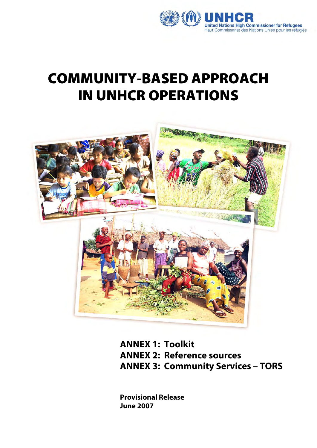

# COMMUNITY-BASED APPROACH IN UNHCR OPERATIONS



**ANNEX 1: Toolkit ANNEX 2: Reference sources ANNEX 3: Community Services – TORS** 

**Provisional Release June 2007**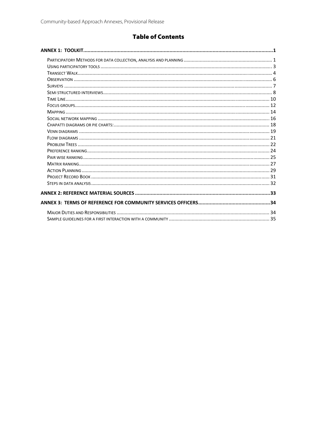# **Table of Contents**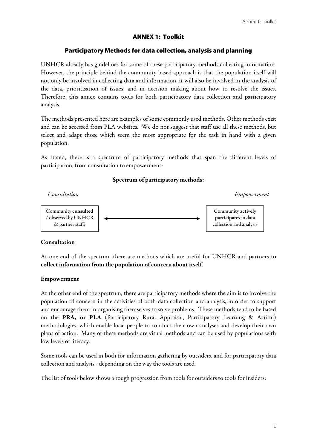## ANNEX 1: Toolkit

#### Participatory Methods for data collection, analysis and planning

UNHCR already has guidelines for some of these participatory methods collecting information. However, the principle behind the community-based approach is that the population itself will not only be involved in collecting data and information, it will also be involved in the analysis of the data, prioritisation of issues, and in decision making about how to resolve the issues. Therefore, this annex contains tools for both participatory data collection and participatory analysis.

The methods presented here are examples of some commonly used methods. Other methods exist and can be accessed from PLA websites. We do not suggest that staff use all these methods, but select and adapt those which seem the most appropriate for the task in hand with a given population.

As stated, there is a spectrum of participatory methods that span the different levels of participation, from consultation to empowerment:

#### Spectrum of participatory methods:



#### Consultation

At one end of the spectrum there are methods which are useful for UNHCR and partners to collect information from the population of concern about itself.

#### Empowerment

At the other end of the spectrum, there are participatory methods where the aim is to involve the population of concern in the activities of both data collection and analysis, in order to support and encourage them in organising themselves to solve problems. These methods tend to be based on the PRA, or PLA (Participatory Rural Appraisal, Participatory Learning & Action) methodologies, which enable local people to conduct their own analyses and develop their own plans of action. Many of these methods are visual methods and can be used by populations with low levels of literacy.

Some tools can be used in both for information gathering by outsiders, and for participatory data collection and analysis - depending on the way the tools are used.

The list of tools below shows a rough progression from tools for outsiders to tools for insiders: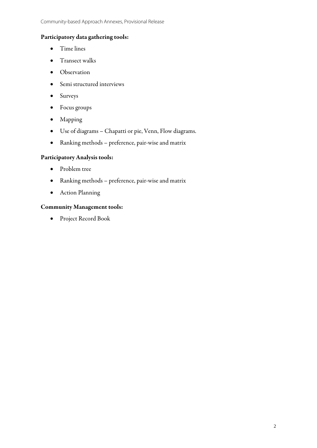## Participatory data gathering tools:

- Time lines
- Transect walks
- Observation
- Semi structured interviews
- Surveys
- Focus groups
- Mapping
- Use of diagrams Chapatti or pie, Venn, Flow diagrams.
- Ranking methods preference, pair-wise and matrix

## Participatory Analysis tools:

- Problem tree
- Ranking methods preference, pair-wise and matrix
- Action Planning

#### Community Management tools:

• Project Record Book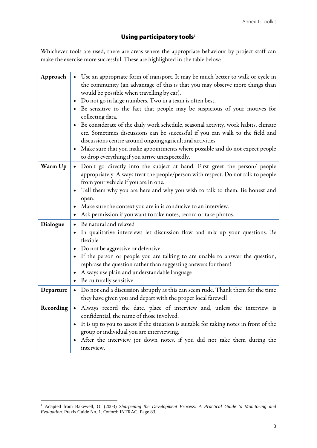# Using participatory tools<sup>1</sup>

Whichever tools are used, there are areas where the appropriate behaviour by project staff can make the exercise more successful. These are highlighted in the table below:

| Approach  | • Use an appropriate form of transport. It may be much better to walk or cycle in<br>the community (an advantage of this is that you may observe more things than<br>would be possible when travelling by car).<br>Do not go in large numbers. Two in a team is often best.<br>$\bullet$<br>Be sensitive to the fact that people may be suspicious of your motives for<br>$\bullet$<br>collecting data.<br>Be considerate of the daily work schedule, seasonal activity, work habits, climate<br>$\bullet$<br>etc. Sometimes discussions can be successful if you can walk to the field and<br>discussions centre around ongoing agricultural activities |
|-----------|----------------------------------------------------------------------------------------------------------------------------------------------------------------------------------------------------------------------------------------------------------------------------------------------------------------------------------------------------------------------------------------------------------------------------------------------------------------------------------------------------------------------------------------------------------------------------------------------------------------------------------------------------------|
|           | Make sure that you make appointments where possible and do not expect people<br>$\bullet$<br>to drop everything if you arrive unexpectedly.                                                                                                                                                                                                                                                                                                                                                                                                                                                                                                              |
| Warm Up   | Don't go directly into the subject at hand. First greet the person/ people<br>$\bullet$<br>appropriately. Always treat the people/person with respect. Do not talk to people<br>from your vehicle if you are in one.<br>Tell them why you are here and why you wish to talk to them. Be honest and<br>$\bullet$<br>open.<br>Make sure the context you are in is conducive to an interview.<br>$\bullet$<br>Ask permission if you want to take notes, record or take photos.                                                                                                                                                                              |
| Dialogue  | Be natural and relaxed<br>$\bullet$<br>In qualitative interviews let discussion flow and mix up your questions. Be<br>$\bullet$<br>flexible<br>Do not be aggressive or defensive<br>$\bullet$<br>If the person or people you are talking to are unable to answer the question,<br>$\bullet$<br>rephrase the question rather than suggesting answers for them!<br>Always use plain and understandable language<br>Be culturally sensitive<br>$\bullet$                                                                                                                                                                                                    |
| Departure | Do not end a discussion abruptly as this can seem rude. Thank them for the time<br>$\bullet$<br>they have given you and depart with the proper local farewell                                                                                                                                                                                                                                                                                                                                                                                                                                                                                            |
| Recording | Always record the date, place of interview and, unless the interview is<br>confidential, the name of those involved.<br>It is up to you to assess if the situation is suitable for taking notes in front of the<br>$\bullet$<br>group or individual you are interviewing.<br>After the interview jot down notes, if you did not take them during the<br>$\bullet$<br>interview.                                                                                                                                                                                                                                                                          |

 1 Adapted from Bakewell, O. (2003) *Sharpening the Development Process: A Practical Guide to Monitoring and Evaluation*. Praxis Guide No. 1. Oxford: INTRAC. Page 83.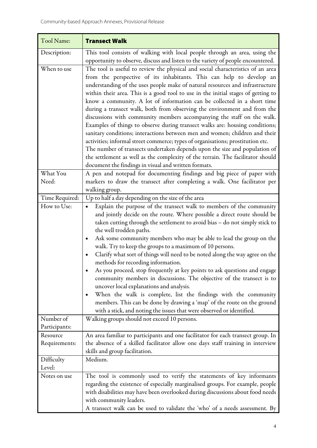| Tool Name:                | <b>Transect Walk</b>                                                                                                                                                                                                                                                                                                                                                                                                                                                                                                                                                                                                                                                                                                                                                                                                                                                                                                                                                                                                                      |
|---------------------------|-------------------------------------------------------------------------------------------------------------------------------------------------------------------------------------------------------------------------------------------------------------------------------------------------------------------------------------------------------------------------------------------------------------------------------------------------------------------------------------------------------------------------------------------------------------------------------------------------------------------------------------------------------------------------------------------------------------------------------------------------------------------------------------------------------------------------------------------------------------------------------------------------------------------------------------------------------------------------------------------------------------------------------------------|
| Description:              | This tool consists of walking with local people through an area, using the<br>opportunity to observe, discuss and listen to the variety of people encountered.                                                                                                                                                                                                                                                                                                                                                                                                                                                                                                                                                                                                                                                                                                                                                                                                                                                                            |
| When to use               | The tool is useful to review the physical and social characteristics of an area<br>from the perspective of its inhabitants. This can help to develop an<br>understanding of the uses people make of natural resources and infrastructure<br>within their area. This is a good tool to use in the initial stages of getting to<br>know a community. A lot of information can be collected in a short time<br>during a transect walk, both from observing the environment and from the<br>discussions with community members accompanying the staff on the walk.<br>Examples of things to observe during transect walks are: housing conditions;<br>sanitary conditions; interactions between men and women; children and their<br>activities; informal street commerce; types of organisations; prostitution etc.<br>The number of transects undertaken depends upon the size and population of<br>the settlement as well as the complexity of the terrain. The facilitator should<br>document the findings in visual and written formats. |
| What You<br>Need:         | A pen and notepad for documenting findings and big piece of paper with<br>markers to draw the transect after completing a walk. One facilitator per                                                                                                                                                                                                                                                                                                                                                                                                                                                                                                                                                                                                                                                                                                                                                                                                                                                                                       |
|                           | walking group.                                                                                                                                                                                                                                                                                                                                                                                                                                                                                                                                                                                                                                                                                                                                                                                                                                                                                                                                                                                                                            |
| Time Required:            | Up to half a day depending on the size of the area                                                                                                                                                                                                                                                                                                                                                                                                                                                                                                                                                                                                                                                                                                                                                                                                                                                                                                                                                                                        |
| How to Use:<br>Number of  | Explain the purpose of the transect walk to members of the community<br>$\bullet$<br>and jointly decide on the route. Where possible a direct route should be<br>taken cutting through the settlement to avoid bias - do not simply stick to<br>the well trodden paths.<br>Ask some community members who may be able to lead the group on the<br>٠<br>walk. Try to keep the groups to a maximum of 10 persons.<br>Clarify what sort of things will need to be noted along the way agree on the<br>methods for recording information.<br>As you proceed, stop frequently at key points to ask questions and engage<br>community members in discussions. The objective of the transect is to<br>uncover local explanations and analysis.<br>When the walk is complete, list the findings with the community<br>٠<br>members. This can be done by drawing a 'map' of the route on the ground<br>with a stick, and noting the issues that were observed or identified.                                                                       |
| Participants:             | Walking groups should not exceed 10 persons.                                                                                                                                                                                                                                                                                                                                                                                                                                                                                                                                                                                                                                                                                                                                                                                                                                                                                                                                                                                              |
| Resource<br>Requirements: | An area familiar to participants and one facilitator for each transect group. In<br>the absence of a skilled facilitator allow one days staff training in interview<br>skills and group facilitation.                                                                                                                                                                                                                                                                                                                                                                                                                                                                                                                                                                                                                                                                                                                                                                                                                                     |
| Difficulty<br>Level:      | Medium.                                                                                                                                                                                                                                                                                                                                                                                                                                                                                                                                                                                                                                                                                                                                                                                                                                                                                                                                                                                                                                   |
| Notes on use              | The tool is commonly used to verify the statements of key informants<br>regarding the existence of especially marginalised groups. For example, people<br>with disabilities may have been overlooked during discussions about food needs<br>with community leaders.<br>A transect walk can be used to validate the 'who' of a needs assessment. By                                                                                                                                                                                                                                                                                                                                                                                                                                                                                                                                                                                                                                                                                        |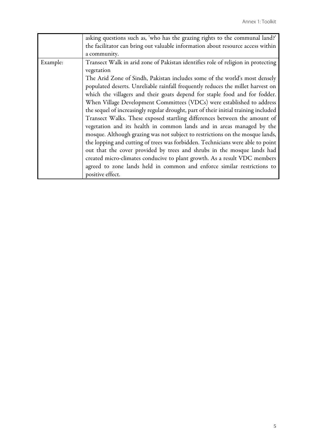|          | asking questions such as, 'who has the grazing rights to the communal land?'        |
|----------|-------------------------------------------------------------------------------------|
|          | the facilitator can bring out valuable information about resource access within     |
|          | a community.                                                                        |
| Example: | Transect Walk in arid zone of Pakistan identifies role of religion in protecting    |
|          | vegetation                                                                          |
|          | The Arid Zone of Sindh, Pakistan includes some of the world's most densely          |
|          | populated deserts. Unreliable rainfall frequently reduces the millet harvest on     |
|          | which the villagers and their goats depend for staple food and for fodder.          |
|          | When Village Development Committees (VDCs) were established to address              |
|          | the sequel of increasingly regular drought, part of their initial training included |
|          | Transect Walks. These exposed startling differences between the amount of           |
|          | vegetation and its health in common lands and in areas managed by the               |
|          | mosque. Although grazing was not subject to restrictions on the mosque lands,       |
|          | the lopping and cutting of trees was forbidden. Technicians were able to point      |
|          | out that the cover provided by trees and shrubs in the mosque lands had             |
|          | created micro-climates conducive to plant growth. As a result VDC members           |
|          | agreed to zone lands held in common and enforce similar restrictions to             |
|          | positive effect.                                                                    |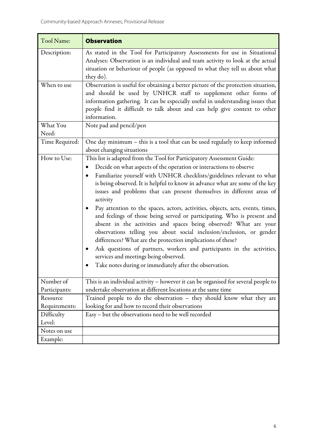| Tool Name:                 | <b>Observation</b>                                                                                                                                                                                                                                                                                                                                                                                                                                                                                                                                                                                                                                                                                                                                                                                                                                                                                                                                              |
|----------------------------|-----------------------------------------------------------------------------------------------------------------------------------------------------------------------------------------------------------------------------------------------------------------------------------------------------------------------------------------------------------------------------------------------------------------------------------------------------------------------------------------------------------------------------------------------------------------------------------------------------------------------------------------------------------------------------------------------------------------------------------------------------------------------------------------------------------------------------------------------------------------------------------------------------------------------------------------------------------------|
| Description:               | As stated in the Tool for Participatory Assessments for use in Situational<br>Analyses: Observation is an individual and team activity to look at the actual<br>situation or behaviour of people (as opposed to what they tell us about what<br>they do).                                                                                                                                                                                                                                                                                                                                                                                                                                                                                                                                                                                                                                                                                                       |
| When to use                | Observation is useful for obtaining a better picture of the protection situation,<br>and should be used by UNHCR staff to supplement other forms of<br>information gathering. It can be especially useful in understanding issues that<br>people find it difficult to talk about and can help give context to other<br>information.                                                                                                                                                                                                                                                                                                                                                                                                                                                                                                                                                                                                                             |
| What You<br>Need:          | Note pad and pencil/pen                                                                                                                                                                                                                                                                                                                                                                                                                                                                                                                                                                                                                                                                                                                                                                                                                                                                                                                                         |
| Time Required:             | One day minimum - this is a tool that can be used regularly to keep informed<br>about changing situations                                                                                                                                                                                                                                                                                                                                                                                                                                                                                                                                                                                                                                                                                                                                                                                                                                                       |
| How to Use:                | This list is adapted from the Tool for Participatory Assessment Guide:<br>Decide on what aspects of the operation or interactions to observe<br>Familiarize yourself with UNHCR checklists/guidelines relevant to what<br>is being observed. It is helpful to know in advance what are some of the key<br>issues and problems that can present themselves in different areas of<br>activity<br>Pay attention to the spaces, actors, activities, objects, acts, events, times,<br>and feelings of those being served or participating. Who is present and<br>absent in the activities and spaces being observed? What are your<br>observations telling you about social inclusion/exclusion, or gender<br>differences? What are the protection implications of these?<br>Ask questions of partners, workers and participants in the activities,<br>$\bullet$<br>services and meetings being observed.<br>Take notes during or immediately after the observation. |
| Number of<br>Participants: | This is an individual activity - however it can be organised for several people to<br>undertake observation at different locations at the same time                                                                                                                                                                                                                                                                                                                                                                                                                                                                                                                                                                                                                                                                                                                                                                                                             |
| Resource<br>Requirements:  | Trained people to do the observation - they should know what they are<br>looking for and how to record their observations                                                                                                                                                                                                                                                                                                                                                                                                                                                                                                                                                                                                                                                                                                                                                                                                                                       |
| Difficulty<br>Level:       | Easy - but the observations need to be well recorded                                                                                                                                                                                                                                                                                                                                                                                                                                                                                                                                                                                                                                                                                                                                                                                                                                                                                                            |
| Notes on use               |                                                                                                                                                                                                                                                                                                                                                                                                                                                                                                                                                                                                                                                                                                                                                                                                                                                                                                                                                                 |
| Example:                   |                                                                                                                                                                                                                                                                                                                                                                                                                                                                                                                                                                                                                                                                                                                                                                                                                                                                                                                                                                 |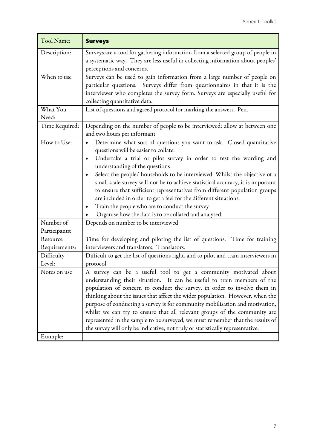| Surveys are a tool for gathering information from a selected group of people in<br>Description:<br>a systematic way. They are less useful in collecting information about peoples'<br>perceptions and concerns.<br>Surveys can be used to gain information from a large number of people on<br>When to use<br>particular questions. Surveys differ from questionnaires in that it is the<br>interviewer who completes the survey form. Surveys are especially useful for<br>collecting quantitative data.<br>List of questions and agreed protocol for marking the answers. Pen.<br>What You<br>Need:<br>Depending on the number of people to be interviewed: allow at between one<br>Time Required:<br>and two hours per informant<br>How to Use:<br>Determine what sort of questions you want to ask. Closed quantitative<br>$\bullet$ |  |
|------------------------------------------------------------------------------------------------------------------------------------------------------------------------------------------------------------------------------------------------------------------------------------------------------------------------------------------------------------------------------------------------------------------------------------------------------------------------------------------------------------------------------------------------------------------------------------------------------------------------------------------------------------------------------------------------------------------------------------------------------------------------------------------------------------------------------------------|--|
|                                                                                                                                                                                                                                                                                                                                                                                                                                                                                                                                                                                                                                                                                                                                                                                                                                          |  |
|                                                                                                                                                                                                                                                                                                                                                                                                                                                                                                                                                                                                                                                                                                                                                                                                                                          |  |
|                                                                                                                                                                                                                                                                                                                                                                                                                                                                                                                                                                                                                                                                                                                                                                                                                                          |  |
|                                                                                                                                                                                                                                                                                                                                                                                                                                                                                                                                                                                                                                                                                                                                                                                                                                          |  |
| questions will be easier to collate.<br>Undertake a trial or pilot survey in order to test the wording and<br>$\bullet$<br>understanding of the questions<br>Select the people/ households to be interviewed. Whilst the objective of a<br>$\bullet$<br>small scale survey will not be to achieve statistical accuracy, it is important<br>to ensure that sufficient representatives from different population groups<br>are included in order to get a feel for the different situations.<br>Train the people who are to conduct the survey<br>٠<br>Organise how the data is to be collated and analysed                                                                                                                                                                                                                                |  |
| Number of<br>Depends on number to be interviewed<br>Participants:                                                                                                                                                                                                                                                                                                                                                                                                                                                                                                                                                                                                                                                                                                                                                                        |  |
| Time for developing and piloting the list of questions. Time for training<br>Resource<br>interviewers and translators. Translators.<br>Requirements:                                                                                                                                                                                                                                                                                                                                                                                                                                                                                                                                                                                                                                                                                     |  |
| Difficult to get the list of questions right, and to pilot and train interviewers in<br>Difficulty<br>Level:<br>protocol                                                                                                                                                                                                                                                                                                                                                                                                                                                                                                                                                                                                                                                                                                                 |  |
| A survey can be a useful tool to get a community motivated about<br>Notes on use<br>understanding their situation. It can be useful to train members of the<br>population of concern to conduct the survey, in order to involve them in<br>thinking about the issues that affect the wider population. However, when the<br>purpose of conducting a survey is for community mobilisation and motivation,<br>whilst we can try to ensure that all relevant groups of the community are<br>represented in the sample to be surveyed, we must remember that the results of<br>the survey will only be indicative, not truly or statistically representative.<br>Example:                                                                                                                                                                    |  |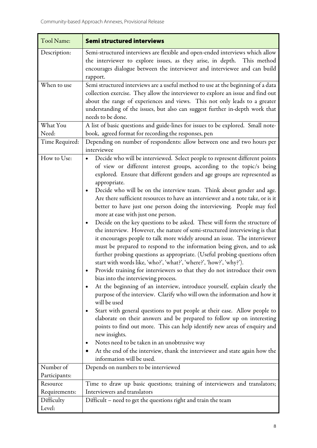| Tool Name:                | <b>Semi structured interviews</b>                                                                                                                                                                                                                                                                                                                                                                                                                                                                                                                                                                                                                                                                                                                                                                                                                                                                                                                                                                                                                                                                                                                                                                                                                                                                                                                                                                                                                                                                                                                                                                                                                                                                                   |
|---------------------------|---------------------------------------------------------------------------------------------------------------------------------------------------------------------------------------------------------------------------------------------------------------------------------------------------------------------------------------------------------------------------------------------------------------------------------------------------------------------------------------------------------------------------------------------------------------------------------------------------------------------------------------------------------------------------------------------------------------------------------------------------------------------------------------------------------------------------------------------------------------------------------------------------------------------------------------------------------------------------------------------------------------------------------------------------------------------------------------------------------------------------------------------------------------------------------------------------------------------------------------------------------------------------------------------------------------------------------------------------------------------------------------------------------------------------------------------------------------------------------------------------------------------------------------------------------------------------------------------------------------------------------------------------------------------------------------------------------------------|
| Description:              | Semi-structured interviews are flexible and open-ended interviews which allow<br>the interviewer to explore issues, as they arise, in depth. This method<br>encourages dialogue between the interviewer and interviewee and can build<br>rapport.                                                                                                                                                                                                                                                                                                                                                                                                                                                                                                                                                                                                                                                                                                                                                                                                                                                                                                                                                                                                                                                                                                                                                                                                                                                                                                                                                                                                                                                                   |
| When to use               | Semi structured interviews are a useful method to use at the beginning of a data<br>collection exercise. They allow the interviewer to explore an issue and find out<br>about the range of experiences and views. This not only leads to a greater<br>understanding of the issues, but also can suggest further in-depth work that<br>needs to be done.                                                                                                                                                                                                                                                                                                                                                                                                                                                                                                                                                                                                                                                                                                                                                                                                                                                                                                                                                                                                                                                                                                                                                                                                                                                                                                                                                             |
| What You                  | A list of basic questions and guide-lines for issues to be explored. Small note-                                                                                                                                                                                                                                                                                                                                                                                                                                                                                                                                                                                                                                                                                                                                                                                                                                                                                                                                                                                                                                                                                                                                                                                                                                                                                                                                                                                                                                                                                                                                                                                                                                    |
| Need:                     | book, agreed format for recording the responses, pen<br>Depending on number of respondents: allow between one and two hours per                                                                                                                                                                                                                                                                                                                                                                                                                                                                                                                                                                                                                                                                                                                                                                                                                                                                                                                                                                                                                                                                                                                                                                                                                                                                                                                                                                                                                                                                                                                                                                                     |
| Time Required:            | interviewee                                                                                                                                                                                                                                                                                                                                                                                                                                                                                                                                                                                                                                                                                                                                                                                                                                                                                                                                                                                                                                                                                                                                                                                                                                                                                                                                                                                                                                                                                                                                                                                                                                                                                                         |
| How to Use:               | Decide who will be interviewed. Select people to represent different points<br>of view or different interest groups, according to the topic/s being<br>explored. Ensure that different genders and age groups are represented as<br>appropriate.<br>Decide who will be on the interview team. Think about gender and age.<br>Are there sufficient resources to have an interviewer and a note take, or is it<br>better to have just one person doing the interviewing. People may feel<br>more at ease with just one person.<br>Decide on the key questions to be asked. These will form the structure of<br>٠<br>the interview. However, the nature of semi-structured interviewing is that<br>it encourages people to talk more widely around an issue. The interviewer<br>must be prepared to respond to the information being given, and to ask<br>further probing questions as appropriate. (Useful probing questions often<br>start with words like, 'who?', 'what?', 'where?', 'how?', 'why?').<br>Provide training for interviewers so that they do not introduce their own<br>bias into the interviewing process.<br>At the beginning of an interview, introduce yourself, explain clearly the<br>purpose of the interview. Clarify who will own the information and how it<br>will be used<br>Start with general questions to put people at their ease. Allow people to<br>elaborate on their answers and be prepared to follow up on interesting<br>points to find out more. This can help identify new areas of enquiry and<br>new insights.<br>Notes need to be taken in an unobtrusive way<br>At the end of the interview, thank the interviewer and state again how the<br>information will be used. |
| Number of                 | Depends on numbers to be interviewed                                                                                                                                                                                                                                                                                                                                                                                                                                                                                                                                                                                                                                                                                                                                                                                                                                                                                                                                                                                                                                                                                                                                                                                                                                                                                                                                                                                                                                                                                                                                                                                                                                                                                |
| Participants:             |                                                                                                                                                                                                                                                                                                                                                                                                                                                                                                                                                                                                                                                                                                                                                                                                                                                                                                                                                                                                                                                                                                                                                                                                                                                                                                                                                                                                                                                                                                                                                                                                                                                                                                                     |
| Resource<br>Requirements: | Time to draw up basic questions; training of interviewers and translators;<br>Interviewers and translators                                                                                                                                                                                                                                                                                                                                                                                                                                                                                                                                                                                                                                                                                                                                                                                                                                                                                                                                                                                                                                                                                                                                                                                                                                                                                                                                                                                                                                                                                                                                                                                                          |
| Difficulty<br>Level:      | Difficult - need to get the questions right and train the team                                                                                                                                                                                                                                                                                                                                                                                                                                                                                                                                                                                                                                                                                                                                                                                                                                                                                                                                                                                                                                                                                                                                                                                                                                                                                                                                                                                                                                                                                                                                                                                                                                                      |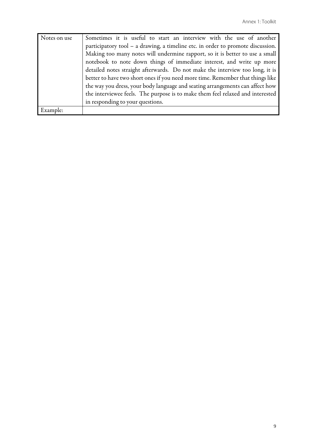| Notes on use | Sometimes it is useful to start an interview with the use of another            |
|--------------|---------------------------------------------------------------------------------|
|              | participatory tool - a drawing, a timeline etc. in order to promote discussion. |
|              | Making too many notes will undermine rapport, so it is better to use a small    |
|              | notebook to note down things of immediate interest, and write up more           |
|              | detailed notes straight afterwards. Do not make the interview too long, it is   |
|              | better to have two short ones if you need more time. Remember that things like  |
|              | the way you dress, your body language and seating arrangements can affect how   |
|              | the interviewee feels. The purpose is to make them feel relaxed and interested  |
|              | in responding to your questions.                                                |
| Example:     |                                                                                 |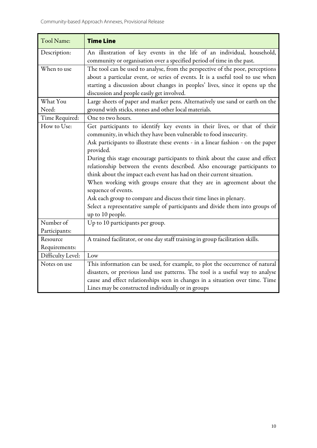| Tool Name:        | <b>Time Line</b>                                                                 |
|-------------------|----------------------------------------------------------------------------------|
| Description:      | An illustration of key events in the life of an individual, household,           |
|                   | community or organisation over a specified period of time in the past.           |
| When to use       | The tool can be used to analyse, from the perspective of the poor, perceptions   |
|                   | about a particular event, or series of events. It is a useful tool to use when   |
|                   | starting a discussion about changes in peoples' lives, since it opens up the     |
|                   | discussion and people easily get involved.                                       |
| What You          | Large sheets of paper and marker pens. Alternatively use sand or earth on the    |
| Need:             | ground with sticks, stones and other local materials.                            |
| Time Required:    | One to two hours.                                                                |
| How to Use:       | Get participants to identify key events in their lives, or that of their         |
|                   | community, in which they have been vulnerable to food insecurity.                |
|                   | Ask participants to illustrate these events - in a linear fashion - on the paper |
|                   | provided.                                                                        |
|                   | During this stage encourage participants to think about the cause and effect     |
|                   | relationship between the events described. Also encourage participants to        |
|                   | think about the impact each event has had on their current situation.            |
|                   | When working with groups ensure that they are in agreement about the             |
|                   | sequence of events.                                                              |
|                   | Ask each group to compare and discuss their time lines in plenary.               |
|                   | Select a representative sample of participants and divide them into groups of    |
|                   | up to 10 people.                                                                 |
| Number of         | Up to 10 participants per group.                                                 |
| Participants:     |                                                                                  |
| Resource          | A trained facilitator, or one day staff training in group facilitation skills.   |
| Requirements:     |                                                                                  |
| Difficulty Level: | Low                                                                              |
| Notes on use      | This information can be used, for example, to plot the occurrence of natural     |
|                   | disasters, or previous land use patterns. The tool is a useful way to analyse    |
|                   | cause and effect relationships seen in changes in a situation over time. Time    |
|                   | Lines may be constructed individually or in groups                               |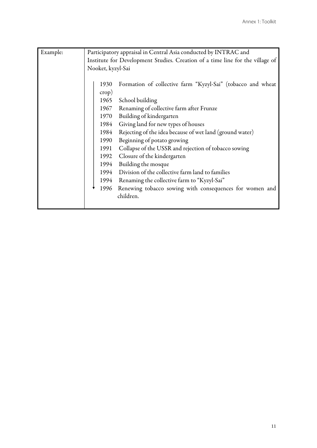| Example: |                   | Participatory appraisal in Central Asia conducted by INTRAC and               |
|----------|-------------------|-------------------------------------------------------------------------------|
|          |                   | Institute for Development Studies. Creation of a time line for the village of |
|          | Nooket, kyzyl-Sai |                                                                               |
|          |                   |                                                                               |
|          | 1930              | Formation of collective farm "Kyzyl-Sai" (tobacco and wheat                   |
|          | $\text{crop}$ )   |                                                                               |
|          | 1965              | School building                                                               |
|          | 1967              | Renaming of collective farm after Frunze                                      |
|          | 1970              | Building of kindergarten                                                      |
|          | 1984              | Giving land for new types of houses                                           |
|          | 1984              | Rejecting of the idea because of wet land (ground water)                      |
|          | 1990              | Beginning of potato growing                                                   |
|          | 1991              | Collapse of the USSR and rejection of tobacco sowing                          |
|          | 1992              | Closure of the kindergarten                                                   |
|          | 1994              | Building the mosque                                                           |
|          | 1994              | Division of the collective farm land to families                              |
|          | 1994              | Renaming the collective farm to "Kyzyl-Sai"                                   |
|          | 1996              | Renewing tobacco sowing with consequences for women and                       |
|          |                   | children.                                                                     |
|          |                   |                                                                               |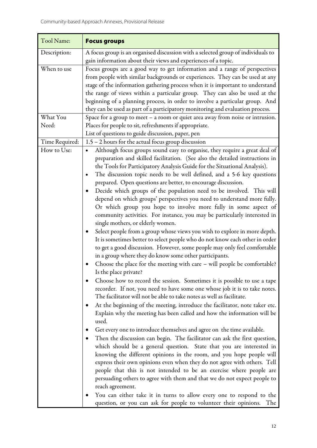| Tool Name:                    | <b>Focus groups</b>                                                                                                                                                                                                                                                                                                                                                                                                                                                                                                                                                                                                                                                                                                                                                                                                                                                                                                                                                                                                                                                                                                                                                                                                                                                                                                                                                                                                                                                                                                                                                                                                                                                                                                                                                                                                                                                                                                                                                                                                                                                                                                                                                                                                                                                                                                                    |
|-------------------------------|----------------------------------------------------------------------------------------------------------------------------------------------------------------------------------------------------------------------------------------------------------------------------------------------------------------------------------------------------------------------------------------------------------------------------------------------------------------------------------------------------------------------------------------------------------------------------------------------------------------------------------------------------------------------------------------------------------------------------------------------------------------------------------------------------------------------------------------------------------------------------------------------------------------------------------------------------------------------------------------------------------------------------------------------------------------------------------------------------------------------------------------------------------------------------------------------------------------------------------------------------------------------------------------------------------------------------------------------------------------------------------------------------------------------------------------------------------------------------------------------------------------------------------------------------------------------------------------------------------------------------------------------------------------------------------------------------------------------------------------------------------------------------------------------------------------------------------------------------------------------------------------------------------------------------------------------------------------------------------------------------------------------------------------------------------------------------------------------------------------------------------------------------------------------------------------------------------------------------------------------------------------------------------------------------------------------------------------|
| Description:                  | A focus group is an organised discussion with a selected group of individuals to<br>gain information about their views and experiences of a topic.                                                                                                                                                                                                                                                                                                                                                                                                                                                                                                                                                                                                                                                                                                                                                                                                                                                                                                                                                                                                                                                                                                                                                                                                                                                                                                                                                                                                                                                                                                                                                                                                                                                                                                                                                                                                                                                                                                                                                                                                                                                                                                                                                                                     |
| When to use                   | Focus groups are a good way to get information and a range of perspectives<br>from people with similar backgrounds or experiences. They can be used at any<br>stage of the information gathering process when it is important to understand<br>the range of views within a particular group. They can also be used at the<br>beginning of a planning process, in order to involve a particular group. And<br>they can be used as part of a participatory monitoring and evaluation process.                                                                                                                                                                                                                                                                                                                                                                                                                                                                                                                                                                                                                                                                                                                                                                                                                                                                                                                                                                                                                                                                                                                                                                                                                                                                                                                                                                                                                                                                                                                                                                                                                                                                                                                                                                                                                                            |
| What You                      | Space for a group to meet - a room or quiet area away from noise or intrusion.                                                                                                                                                                                                                                                                                                                                                                                                                                                                                                                                                                                                                                                                                                                                                                                                                                                                                                                                                                                                                                                                                                                                                                                                                                                                                                                                                                                                                                                                                                                                                                                                                                                                                                                                                                                                                                                                                                                                                                                                                                                                                                                                                                                                                                                         |
| Need:                         | Places for people to sit, refreshments if appropriate.                                                                                                                                                                                                                                                                                                                                                                                                                                                                                                                                                                                                                                                                                                                                                                                                                                                                                                                                                                                                                                                                                                                                                                                                                                                                                                                                                                                                                                                                                                                                                                                                                                                                                                                                                                                                                                                                                                                                                                                                                                                                                                                                                                                                                                                                                 |
|                               | List of questions to guide discussion, paper, pen                                                                                                                                                                                                                                                                                                                                                                                                                                                                                                                                                                                                                                                                                                                                                                                                                                                                                                                                                                                                                                                                                                                                                                                                                                                                                                                                                                                                                                                                                                                                                                                                                                                                                                                                                                                                                                                                                                                                                                                                                                                                                                                                                                                                                                                                                      |
| Time Required:<br>How to Use: | 1.5 - 2 hours for the actual focus group discussion<br>Although focus groups sound easy to organise, they require a great deal of<br>preparation and skilled facilitation. (See also the detailed instructions in<br>the Tools for Participatory Analysis Guide for the Situational Analysis).<br>The discussion topic needs to be well defined, and a 5-6 key questions<br>prepared. Open questions are better, to encourage discussion.<br>Decide which groups of the population need to be involved. This will<br>depend on which groups' perspectives you need to understand more fully.<br>Or which group you hope to involve more fully in some aspect of<br>community activities. For instance, you may be particularly interested in<br>single mothers, or elderly women.<br>Select people from a group whose views you wish to explore in more depth.<br>It is sometimes better to select people who do not know each other in order<br>to get a good discussion. However, some people may only feel comfortable<br>in a group where they do know some other participants.<br>Choose the place for the meeting with care - will people be comfortable?<br>Is the place private?<br>Choose how to record the session. Sometimes it is possible to use a tape<br>recorder. If not, you need to have some one whose job it is to take notes.<br>The facilitator will not be able to take notes as well as facilitate.<br>At the beginning of the meeting, introduce the facilitator, note taker etc.<br>$\bullet$<br>Explain why the meeting has been called and how the information will be<br>used.<br>Get every one to introduce themselves and agree on the time available.<br>Then the discussion can begin. The facilitator can ask the first question,<br>$\bullet$<br>which should be a general question. State that you are interested in<br>knowing the different opinions in the room, and you hope people will<br>express their own opinions even when they do not agree with others. Tell<br>people that this is not intended to be an exercise where people are<br>persuading others to agree with them and that we do not expect people to<br>reach agreement.<br>You can either take it in turns to allow every one to respond to the<br>question, or you can ask for people to volunteer their opinions.<br>The |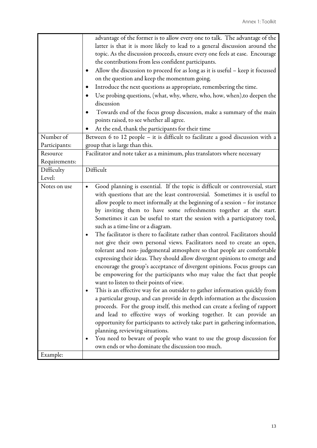|               | advantage of the former is to allow every one to talk. The advantage of the                                                                                                                                                                                                                                                                                                                                                                                                                                                                                                                       |
|---------------|---------------------------------------------------------------------------------------------------------------------------------------------------------------------------------------------------------------------------------------------------------------------------------------------------------------------------------------------------------------------------------------------------------------------------------------------------------------------------------------------------------------------------------------------------------------------------------------------------|
|               | latter is that it is more likely to lead to a general discussion around the                                                                                                                                                                                                                                                                                                                                                                                                                                                                                                                       |
|               | topic. As the discussion proceeds, ensure every one feels at ease. Encourage                                                                                                                                                                                                                                                                                                                                                                                                                                                                                                                      |
|               | the contributions from less confident participants.                                                                                                                                                                                                                                                                                                                                                                                                                                                                                                                                               |
|               | Allow the discussion to proceed for as long as it is useful - keep it focussed                                                                                                                                                                                                                                                                                                                                                                                                                                                                                                                    |
|               | on the question and keep the momentum going.                                                                                                                                                                                                                                                                                                                                                                                                                                                                                                                                                      |
|               | Introduce the next questions as appropriate, remembering the time.                                                                                                                                                                                                                                                                                                                                                                                                                                                                                                                                |
|               | Use probing questions, (what, why, where, who, how, when), to deepen the                                                                                                                                                                                                                                                                                                                                                                                                                                                                                                                          |
|               | discussion                                                                                                                                                                                                                                                                                                                                                                                                                                                                                                                                                                                        |
|               | Towards end of the focus group discussion, make a summary of the main                                                                                                                                                                                                                                                                                                                                                                                                                                                                                                                             |
|               | points raised, to see whether all agree.                                                                                                                                                                                                                                                                                                                                                                                                                                                                                                                                                          |
|               | At the end, thank the participants for their time                                                                                                                                                                                                                                                                                                                                                                                                                                                                                                                                                 |
| Number of     | Between 6 to 12 people - it is difficult to facilitate a good discussion with a                                                                                                                                                                                                                                                                                                                                                                                                                                                                                                                   |
| Participants: | group that is large than this.                                                                                                                                                                                                                                                                                                                                                                                                                                                                                                                                                                    |
| Resource      | Facilitator and note taker as a minimum, plus translators where necessary                                                                                                                                                                                                                                                                                                                                                                                                                                                                                                                         |
| Requirements: |                                                                                                                                                                                                                                                                                                                                                                                                                                                                                                                                                                                                   |
| Difficulty    | Difficult                                                                                                                                                                                                                                                                                                                                                                                                                                                                                                                                                                                         |
| Level:        |                                                                                                                                                                                                                                                                                                                                                                                                                                                                                                                                                                                                   |
|               | Good planning is essential. If the topic is difficult or controversial, start<br>with questions that are the least controversial. Sometimes it is useful to<br>allow people to meet informally at the beginning of a session - for instance<br>by inviting them to have some refreshments together at the start.<br>Sometimes it can be useful to start the session with a participatory tool,<br>such as a time-line or a diagram.<br>The facilitator is there to facilitate rather than control. Facilitators should<br>not give their own personal views. Facilitators need to create an open, |
|               | tolerant and non-judgemental atmosphere so that people are comfortable<br>expressing their ideas. They should allow divergent opinions to emerge and<br>encourage the group's acceptance of divergent opinions. Focus groups can<br>be empowering for the participants who may value the fact that people<br>want to listen to their points of view.<br>This is an effective way for an outsider to gather information quickly from                                                                                                                                                               |
|               | a particular group, and can provide in depth information as the discussion<br>proceeds. For the group itself, this method can create a feeling of rapport<br>and lead to effective ways of working together. It can provide an<br>opportunity for participants to actively take part in gathering information,<br>planning, reviewing situations.<br>You need to beware of people who want to use the group discussion for<br>٠                                                                                                                                                                   |
|               | own ends or who dominate the discussion too much.                                                                                                                                                                                                                                                                                                                                                                                                                                                                                                                                                 |
| Example:      |                                                                                                                                                                                                                                                                                                                                                                                                                                                                                                                                                                                                   |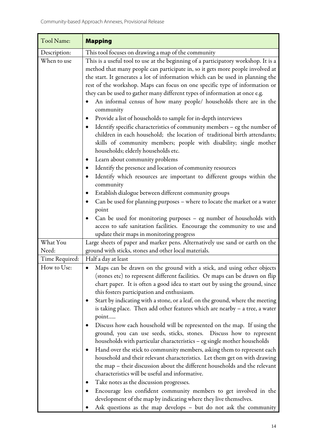| This tool focuses on drawing a map of the community<br>Description:<br>This is a useful tool to use at the beginning of a participatory workshop. It is a<br>When to use<br>method that many people can participate in, so it gets more people involved at<br>the start. It generates a lot of information which can be used in planning the<br>rest of the workshop. Maps can focus on one specific type of information or<br>they can be used to gather many different types of information at once e.g.<br>An informal census of how many people/ households there are in the<br>community<br>Provide a list of households to sample for in-depth interviews<br>Identify specific characteristics of community members - eg the number of<br>children in each household; the location of traditional birth attendants;<br>skills of community members; people with disability; single mother<br>households; elderly households etc.<br>Learn about community problems<br>Identify the presence and location of community resources<br>Identify which resources are important to different groups within the<br>٠<br>community<br>Establish dialogue between different community groups<br>Can be used for planning purposes - where to locate the market or a water<br>point<br>Can be used for monitoring purposes - eg number of households with<br>access to safe sanitation facilities. Encourage the community to use and<br>update their maps in monitoring progress<br>What You<br>Large sheets of paper and marker pens. Alternatively use sand or earth on the<br>ground with sticks, stones and other local materials.<br>Need:<br>Half a day at least<br>Time Required:<br>How to Use:<br>Maps can be drawn on the ground with a stick, and using other objects<br>$\bullet$<br>(stones etc) to represent different facilities. Or maps can be drawn on flip<br>chart paper. It is often a good idea to start out by using the ground, since<br>this fosters participation and enthusiasm.<br>Start by indicating with a stone, or a leaf, on the ground, where the meeting<br>is taking place. Then add other features which are nearby - a tree, a water<br>point<br>Discuss how each household will be represented on the map. If using the<br>ground, you can use seeds, sticks, stones. Discuss how to represent<br>households with particular characteristics - eg single mother households<br>Hand over the stick to community members, asking them to represent each<br>household and their relevant characteristics. Let them get on with drawing<br>the map – their discussion about the different households and the relevant<br>characteristics will be useful and informative.<br>Take notes as the discussion progresses. | Tool Name: | <b>Mapping</b> |  |  |  |
|-------------------------------------------------------------------------------------------------------------------------------------------------------------------------------------------------------------------------------------------------------------------------------------------------------------------------------------------------------------------------------------------------------------------------------------------------------------------------------------------------------------------------------------------------------------------------------------------------------------------------------------------------------------------------------------------------------------------------------------------------------------------------------------------------------------------------------------------------------------------------------------------------------------------------------------------------------------------------------------------------------------------------------------------------------------------------------------------------------------------------------------------------------------------------------------------------------------------------------------------------------------------------------------------------------------------------------------------------------------------------------------------------------------------------------------------------------------------------------------------------------------------------------------------------------------------------------------------------------------------------------------------------------------------------------------------------------------------------------------------------------------------------------------------------------------------------------------------------------------------------------------------------------------------------------------------------------------------------------------------------------------------------------------------------------------------------------------------------------------------------------------------------------------------------------------------------------------------------------------------------------------------------------------------------------------------------------------------------------------------------------------------------------------------------------------------------------------------------------------------------------------------------------------------------------------------------------------------------------------------------------------------------------------------------------------------------------------------------------------------------------|------------|----------------|--|--|--|
|                                                                                                                                                                                                                                                                                                                                                                                                                                                                                                                                                                                                                                                                                                                                                                                                                                                                                                                                                                                                                                                                                                                                                                                                                                                                                                                                                                                                                                                                                                                                                                                                                                                                                                                                                                                                                                                                                                                                                                                                                                                                                                                                                                                                                                                                                                                                                                                                                                                                                                                                                                                                                                                                                                                                                       |            |                |  |  |  |
|                                                                                                                                                                                                                                                                                                                                                                                                                                                                                                                                                                                                                                                                                                                                                                                                                                                                                                                                                                                                                                                                                                                                                                                                                                                                                                                                                                                                                                                                                                                                                                                                                                                                                                                                                                                                                                                                                                                                                                                                                                                                                                                                                                                                                                                                                                                                                                                                                                                                                                                                                                                                                                                                                                                                                       |            |                |  |  |  |
|                                                                                                                                                                                                                                                                                                                                                                                                                                                                                                                                                                                                                                                                                                                                                                                                                                                                                                                                                                                                                                                                                                                                                                                                                                                                                                                                                                                                                                                                                                                                                                                                                                                                                                                                                                                                                                                                                                                                                                                                                                                                                                                                                                                                                                                                                                                                                                                                                                                                                                                                                                                                                                                                                                                                                       |            |                |  |  |  |
|                                                                                                                                                                                                                                                                                                                                                                                                                                                                                                                                                                                                                                                                                                                                                                                                                                                                                                                                                                                                                                                                                                                                                                                                                                                                                                                                                                                                                                                                                                                                                                                                                                                                                                                                                                                                                                                                                                                                                                                                                                                                                                                                                                                                                                                                                                                                                                                                                                                                                                                                                                                                                                                                                                                                                       |            |                |  |  |  |
|                                                                                                                                                                                                                                                                                                                                                                                                                                                                                                                                                                                                                                                                                                                                                                                                                                                                                                                                                                                                                                                                                                                                                                                                                                                                                                                                                                                                                                                                                                                                                                                                                                                                                                                                                                                                                                                                                                                                                                                                                                                                                                                                                                                                                                                                                                                                                                                                                                                                                                                                                                                                                                                                                                                                                       |            |                |  |  |  |
|                                                                                                                                                                                                                                                                                                                                                                                                                                                                                                                                                                                                                                                                                                                                                                                                                                                                                                                                                                                                                                                                                                                                                                                                                                                                                                                                                                                                                                                                                                                                                                                                                                                                                                                                                                                                                                                                                                                                                                                                                                                                                                                                                                                                                                                                                                                                                                                                                                                                                                                                                                                                                                                                                                                                                       |            |                |  |  |  |
|                                                                                                                                                                                                                                                                                                                                                                                                                                                                                                                                                                                                                                                                                                                                                                                                                                                                                                                                                                                                                                                                                                                                                                                                                                                                                                                                                                                                                                                                                                                                                                                                                                                                                                                                                                                                                                                                                                                                                                                                                                                                                                                                                                                                                                                                                                                                                                                                                                                                                                                                                                                                                                                                                                                                                       |            |                |  |  |  |
|                                                                                                                                                                                                                                                                                                                                                                                                                                                                                                                                                                                                                                                                                                                                                                                                                                                                                                                                                                                                                                                                                                                                                                                                                                                                                                                                                                                                                                                                                                                                                                                                                                                                                                                                                                                                                                                                                                                                                                                                                                                                                                                                                                                                                                                                                                                                                                                                                                                                                                                                                                                                                                                                                                                                                       |            |                |  |  |  |
|                                                                                                                                                                                                                                                                                                                                                                                                                                                                                                                                                                                                                                                                                                                                                                                                                                                                                                                                                                                                                                                                                                                                                                                                                                                                                                                                                                                                                                                                                                                                                                                                                                                                                                                                                                                                                                                                                                                                                                                                                                                                                                                                                                                                                                                                                                                                                                                                                                                                                                                                                                                                                                                                                                                                                       |            |                |  |  |  |
|                                                                                                                                                                                                                                                                                                                                                                                                                                                                                                                                                                                                                                                                                                                                                                                                                                                                                                                                                                                                                                                                                                                                                                                                                                                                                                                                                                                                                                                                                                                                                                                                                                                                                                                                                                                                                                                                                                                                                                                                                                                                                                                                                                                                                                                                                                                                                                                                                                                                                                                                                                                                                                                                                                                                                       |            |                |  |  |  |
|                                                                                                                                                                                                                                                                                                                                                                                                                                                                                                                                                                                                                                                                                                                                                                                                                                                                                                                                                                                                                                                                                                                                                                                                                                                                                                                                                                                                                                                                                                                                                                                                                                                                                                                                                                                                                                                                                                                                                                                                                                                                                                                                                                                                                                                                                                                                                                                                                                                                                                                                                                                                                                                                                                                                                       |            |                |  |  |  |
|                                                                                                                                                                                                                                                                                                                                                                                                                                                                                                                                                                                                                                                                                                                                                                                                                                                                                                                                                                                                                                                                                                                                                                                                                                                                                                                                                                                                                                                                                                                                                                                                                                                                                                                                                                                                                                                                                                                                                                                                                                                                                                                                                                                                                                                                                                                                                                                                                                                                                                                                                                                                                                                                                                                                                       |            |                |  |  |  |
|                                                                                                                                                                                                                                                                                                                                                                                                                                                                                                                                                                                                                                                                                                                                                                                                                                                                                                                                                                                                                                                                                                                                                                                                                                                                                                                                                                                                                                                                                                                                                                                                                                                                                                                                                                                                                                                                                                                                                                                                                                                                                                                                                                                                                                                                                                                                                                                                                                                                                                                                                                                                                                                                                                                                                       |            |                |  |  |  |
|                                                                                                                                                                                                                                                                                                                                                                                                                                                                                                                                                                                                                                                                                                                                                                                                                                                                                                                                                                                                                                                                                                                                                                                                                                                                                                                                                                                                                                                                                                                                                                                                                                                                                                                                                                                                                                                                                                                                                                                                                                                                                                                                                                                                                                                                                                                                                                                                                                                                                                                                                                                                                                                                                                                                                       |            |                |  |  |  |
|                                                                                                                                                                                                                                                                                                                                                                                                                                                                                                                                                                                                                                                                                                                                                                                                                                                                                                                                                                                                                                                                                                                                                                                                                                                                                                                                                                                                                                                                                                                                                                                                                                                                                                                                                                                                                                                                                                                                                                                                                                                                                                                                                                                                                                                                                                                                                                                                                                                                                                                                                                                                                                                                                                                                                       |            |                |  |  |  |
|                                                                                                                                                                                                                                                                                                                                                                                                                                                                                                                                                                                                                                                                                                                                                                                                                                                                                                                                                                                                                                                                                                                                                                                                                                                                                                                                                                                                                                                                                                                                                                                                                                                                                                                                                                                                                                                                                                                                                                                                                                                                                                                                                                                                                                                                                                                                                                                                                                                                                                                                                                                                                                                                                                                                                       |            |                |  |  |  |
|                                                                                                                                                                                                                                                                                                                                                                                                                                                                                                                                                                                                                                                                                                                                                                                                                                                                                                                                                                                                                                                                                                                                                                                                                                                                                                                                                                                                                                                                                                                                                                                                                                                                                                                                                                                                                                                                                                                                                                                                                                                                                                                                                                                                                                                                                                                                                                                                                                                                                                                                                                                                                                                                                                                                                       |            |                |  |  |  |
| Encourage less confident community members to get involved in the<br>development of the map by indicating where they live themselves.<br>Ask questions as the map develops - but do not ask the community                                                                                                                                                                                                                                                                                                                                                                                                                                                                                                                                                                                                                                                                                                                                                                                                                                                                                                                                                                                                                                                                                                                                                                                                                                                                                                                                                                                                                                                                                                                                                                                                                                                                                                                                                                                                                                                                                                                                                                                                                                                                                                                                                                                                                                                                                                                                                                                                                                                                                                                                             |            |                |  |  |  |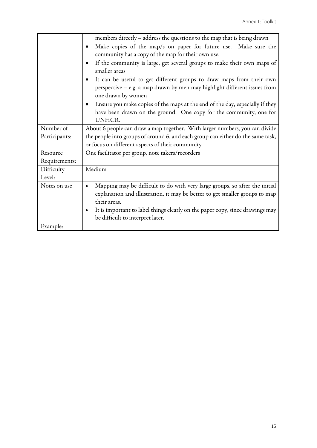|               | members directly – address the questions to the map that is being drawn                                                                                                                 |  |  |  |  |
|---------------|-----------------------------------------------------------------------------------------------------------------------------------------------------------------------------------------|--|--|--|--|
|               | Make copies of the map/s on paper for future use. Make sure the                                                                                                                         |  |  |  |  |
|               | community has a copy of the map for their own use.                                                                                                                                      |  |  |  |  |
|               | If the community is large, get several groups to make their own maps of<br>$\bullet$<br>smaller areas                                                                                   |  |  |  |  |
|               | It can be useful to get different groups to draw maps from their own<br>perspective - e.g. a map drawn by men may highlight different issues from<br>one drawn by women                 |  |  |  |  |
|               | Ensure you make copies of the maps at the end of the day, especially if they                                                                                                            |  |  |  |  |
|               | have been drawn on the ground. One copy for the community, one for                                                                                                                      |  |  |  |  |
|               | <b>UNHCR.</b>                                                                                                                                                                           |  |  |  |  |
| Number of     | About 6 people can draw a map together. With larger numbers, you can divide                                                                                                             |  |  |  |  |
| Participants: | the people into groups of around 6, and each group can either do the same task,                                                                                                         |  |  |  |  |
|               | or focus on different aspects of their community                                                                                                                                        |  |  |  |  |
| Resource      | One facilitator per group, note takers/recorders                                                                                                                                        |  |  |  |  |
| Requirements: |                                                                                                                                                                                         |  |  |  |  |
| Difficulty    | Medium                                                                                                                                                                                  |  |  |  |  |
| Level:        |                                                                                                                                                                                         |  |  |  |  |
| Notes on use  | Mapping may be difficult to do with very large groups, so after the initial<br>$\bullet$<br>explanation and illustration, it may be better to get smaller groups to map<br>their areas. |  |  |  |  |
|               | It is important to label things clearly on the paper copy, since drawings may<br>be difficult to interpret later.                                                                       |  |  |  |  |
| Example:      |                                                                                                                                                                                         |  |  |  |  |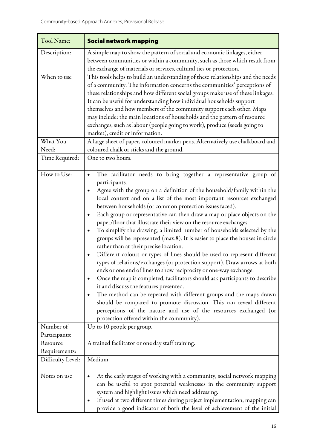| Tool Name:                 | <b>Social network mapping</b>                                                                                                                                                                                                                                                                                                                                                                                                                                                                                                                                                                                                                                                                                                                                                                                                                                                                                                                                                                                                                                                                                                                                                                                                                                                                                                |  |  |  |
|----------------------------|------------------------------------------------------------------------------------------------------------------------------------------------------------------------------------------------------------------------------------------------------------------------------------------------------------------------------------------------------------------------------------------------------------------------------------------------------------------------------------------------------------------------------------------------------------------------------------------------------------------------------------------------------------------------------------------------------------------------------------------------------------------------------------------------------------------------------------------------------------------------------------------------------------------------------------------------------------------------------------------------------------------------------------------------------------------------------------------------------------------------------------------------------------------------------------------------------------------------------------------------------------------------------------------------------------------------------|--|--|--|
| Description:               | A simple map to show the pattern of social and economic linkages, either<br>between communities or within a community, such as those which result from<br>the exchange of materials or services, cultural ties or protection.                                                                                                                                                                                                                                                                                                                                                                                                                                                                                                                                                                                                                                                                                                                                                                                                                                                                                                                                                                                                                                                                                                |  |  |  |
| When to use                | This tools helps to build an understanding of these relationships and the needs<br>of a community. The information concerns the communities' perceptions of<br>these relationships and how different social groups make use of these linkages.<br>It can be useful for understanding how individual households support<br>themselves and how members of the community support each other. Maps<br>may include: the main locations of households and the pattern of resource<br>exchanges, such as labour (people going to work), produce (seeds going to<br>market), credit or information.                                                                                                                                                                                                                                                                                                                                                                                                                                                                                                                                                                                                                                                                                                                                  |  |  |  |
| What You<br>Need:          | A large sheet of paper, coloured marker pens. Alternatively use chalkboard and<br>coloured chalk or sticks and the ground.                                                                                                                                                                                                                                                                                                                                                                                                                                                                                                                                                                                                                                                                                                                                                                                                                                                                                                                                                                                                                                                                                                                                                                                                   |  |  |  |
| Time Required:             | One to two hours.                                                                                                                                                                                                                                                                                                                                                                                                                                                                                                                                                                                                                                                                                                                                                                                                                                                                                                                                                                                                                                                                                                                                                                                                                                                                                                            |  |  |  |
| How to Use:                | The facilitator needs to bring together a representative group of<br>participants.<br>Agree with the group on a definition of the household/family within the<br>local context and on a list of the most important resources exchanged<br>between households (or common protection issues faced).<br>Each group or representative can then draw a map or place objects on the<br>$\bullet$<br>paper/floor that illustrate their view on the resource exchanges.<br>To simplify the drawing, a limited number of households selected by the<br>$\bullet$<br>groups will be represented (max.8). It is easier to place the houses in circle<br>rather than at their precise location.<br>Different colours or types of lines should be used to represent different<br>٠<br>types of relations/exchanges (or protection support). Draw arrows at both<br>ends or one end of lines to show reciprocity or one-way exchange.<br>Once the map is completed, facilitators should ask participants to describe<br>it and discuss the features presented.<br>The method can be repeated with different groups and the maps drawn<br>$\bullet$<br>should be compared to promote discussion. This can reveal different<br>perceptions of the nature and use of the resources exchanged (or<br>protection offered within the community). |  |  |  |
| Number of<br>Participants: | Up to 10 people per group.                                                                                                                                                                                                                                                                                                                                                                                                                                                                                                                                                                                                                                                                                                                                                                                                                                                                                                                                                                                                                                                                                                                                                                                                                                                                                                   |  |  |  |
| Resource<br>Requirements:  | A trained facilitator or one day staff training.                                                                                                                                                                                                                                                                                                                                                                                                                                                                                                                                                                                                                                                                                                                                                                                                                                                                                                                                                                                                                                                                                                                                                                                                                                                                             |  |  |  |
| Difficulty Level:          | Medium                                                                                                                                                                                                                                                                                                                                                                                                                                                                                                                                                                                                                                                                                                                                                                                                                                                                                                                                                                                                                                                                                                                                                                                                                                                                                                                       |  |  |  |
| Notes on use               | At the early stages of working with a community, social network mapping<br>can be useful to spot potential weaknesses in the community support<br>system and highlight issues which need addressing.<br>If used at two different times during project implementation, mapping can<br>provide a good indicator of both the level of achievement of the initial                                                                                                                                                                                                                                                                                                                                                                                                                                                                                                                                                                                                                                                                                                                                                                                                                                                                                                                                                                |  |  |  |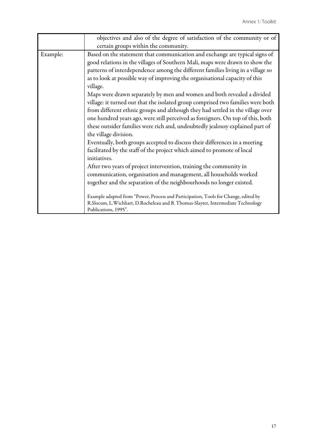|          | objectives and also of the degree of satisfaction of the community or of                                                                                                                                                                                                                                                                                                                                                                                                                                                                                                                                                                                                                                                                                                                                                                                                                                                                                                                                                                                                                                                                                                                                                                                                                                                                                                              |  |  |  |
|----------|---------------------------------------------------------------------------------------------------------------------------------------------------------------------------------------------------------------------------------------------------------------------------------------------------------------------------------------------------------------------------------------------------------------------------------------------------------------------------------------------------------------------------------------------------------------------------------------------------------------------------------------------------------------------------------------------------------------------------------------------------------------------------------------------------------------------------------------------------------------------------------------------------------------------------------------------------------------------------------------------------------------------------------------------------------------------------------------------------------------------------------------------------------------------------------------------------------------------------------------------------------------------------------------------------------------------------------------------------------------------------------------|--|--|--|
|          | certain groups within the community.                                                                                                                                                                                                                                                                                                                                                                                                                                                                                                                                                                                                                                                                                                                                                                                                                                                                                                                                                                                                                                                                                                                                                                                                                                                                                                                                                  |  |  |  |
| Example: | Based on the statement that communication and exchange are typical signs of<br>good relations in the villages of Southern Mali, maps were drawn to show the<br>patterns of interdependence among the different families living in a village so<br>as to look at possible way of improving the organisational capacity of this<br>village.<br>Maps were drawn separately by men and women and both revealed a divided<br>village: it turned out that the isolated group comprised two families were both<br>from different ethnic groups and although they had settled in the village over<br>one hundred years ago, were still perceived as foreigners. On top of this, both<br>these outsider families were rich and, undoubtedly jealousy explained part of<br>the village division.<br>Eventually, both groups accepted to discuss their differences in a meeting<br>facilitated by the staff of the project which aimed to promote of local<br>initiatives.<br>After two years of project intervention, training the community in<br>communication, organisation and management, all households worked<br>together and the separation of the neighbourhoods no longer existed.<br>Example adapted from "Power, Process and Participation, Tools for Change, edited by<br>R.Slocum, L.Wichhart, D.Rocheleau and B. Thomas-Slayter, Intermediate Technology<br>Publications, 1995". |  |  |  |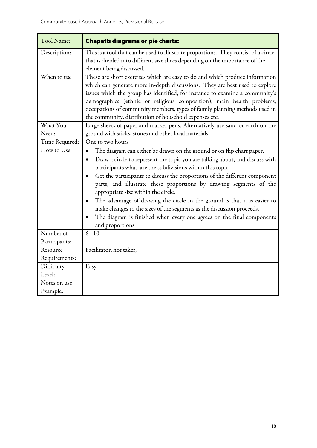| Tool Name:                 | <b>Chapatti diagrams or pie charts:</b>                                                                                                                                                                                                                                                                                                                                                                                                                                                                                                                                                                                                                                                                |  |  |
|----------------------------|--------------------------------------------------------------------------------------------------------------------------------------------------------------------------------------------------------------------------------------------------------------------------------------------------------------------------------------------------------------------------------------------------------------------------------------------------------------------------------------------------------------------------------------------------------------------------------------------------------------------------------------------------------------------------------------------------------|--|--|
| Description:               | This is a tool that can be used to illustrate proportions. They consist of a circle<br>that is divided into different size slices depending on the importance of the<br>element being discussed.                                                                                                                                                                                                                                                                                                                                                                                                                                                                                                       |  |  |
| When to use<br>What You    | These are short exercises which are easy to do and which produce information<br>which can generate more in-depth discussions. They are best used to explore<br>issues which the group has identified, for instance to examine a community's<br>demographics (ethnic or religious composition), main health problems,<br>occupations of community members, types of family planning methods used in<br>the community, distribution of household expenses etc.                                                                                                                                                                                                                                           |  |  |
| Need:                      | Large sheets of paper and marker pens. Alternatively use sand or earth on the<br>ground with sticks, stones and other local materials.                                                                                                                                                                                                                                                                                                                                                                                                                                                                                                                                                                 |  |  |
| Time Required:             | One to two hours                                                                                                                                                                                                                                                                                                                                                                                                                                                                                                                                                                                                                                                                                       |  |  |
| How to Use:                | The diagram can either be drawn on the ground or on flip chart paper.<br>$\bullet$<br>Draw a circle to represent the topic you are talking about, and discuss with<br>$\bullet$<br>participants what are the subdivisions within this topic.<br>Get the participants to discuss the proportions of the different component<br>$\bullet$<br>parts, and illustrate these proportions by drawing segments of the<br>appropriate size within the circle.<br>The advantage of drawing the circle in the ground is that it is easier to<br>make changes to the sizes of the segments as the discussion proceeds.<br>The diagram is finished when every one agrees on the final components<br>and proportions |  |  |
| Number of<br>Participants: | $6 - 10$                                                                                                                                                                                                                                                                                                                                                                                                                                                                                                                                                                                                                                                                                               |  |  |
| Resource<br>Requirements:  | Facilitator, not taker,                                                                                                                                                                                                                                                                                                                                                                                                                                                                                                                                                                                                                                                                                |  |  |
| Difficulty<br>Level:       | Easy                                                                                                                                                                                                                                                                                                                                                                                                                                                                                                                                                                                                                                                                                                   |  |  |
| Notes on use               |                                                                                                                                                                                                                                                                                                                                                                                                                                                                                                                                                                                                                                                                                                        |  |  |
| Example:                   |                                                                                                                                                                                                                                                                                                                                                                                                                                                                                                                                                                                                                                                                                                        |  |  |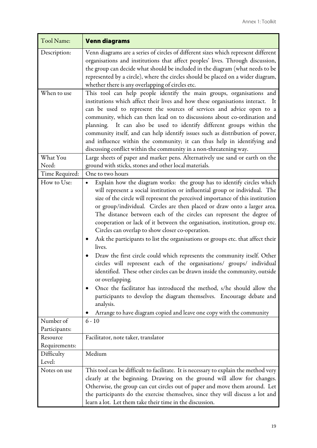| Tool Name:               | <b>Venn diagrams</b>                                                                                                                                                                                                                                                                                                                                                                                                                                                                                                                                                                                                                                                                                                                                                                                                                                                                                                                                                                                                                                                                                                                            |  |  |  |
|--------------------------|-------------------------------------------------------------------------------------------------------------------------------------------------------------------------------------------------------------------------------------------------------------------------------------------------------------------------------------------------------------------------------------------------------------------------------------------------------------------------------------------------------------------------------------------------------------------------------------------------------------------------------------------------------------------------------------------------------------------------------------------------------------------------------------------------------------------------------------------------------------------------------------------------------------------------------------------------------------------------------------------------------------------------------------------------------------------------------------------------------------------------------------------------|--|--|--|
| Description:             | Venn diagrams are a series of circles of different sizes which represent different<br>organisations and institutions that affect peoples' lives. Through discussion,<br>the group can decide what should be included in the diagram (what needs to be<br>represented by a circle), where the circles should be placed on a wider diagram,<br>whether there is any overlapping of circles etc.                                                                                                                                                                                                                                                                                                                                                                                                                                                                                                                                                                                                                                                                                                                                                   |  |  |  |
| When to use              | This tool can help people identify the main groups, organisations and<br>institutions which affect their lives and how these organisations interact. It<br>can be used to represent the sources of services and advice open to a<br>community, which can then lead on to discussions about co-ordination and<br>planning. It can also be used to identify different groups within the<br>community itself, and can help identify issues such as distribution of power,<br>and influence within the community; it can thus help in identifying and<br>discussing conflict within the community in a non-threatening way.                                                                                                                                                                                                                                                                                                                                                                                                                                                                                                                         |  |  |  |
| What You                 | Large sheets of paper and marker pens. Alternatively use sand or earth on the                                                                                                                                                                                                                                                                                                                                                                                                                                                                                                                                                                                                                                                                                                                                                                                                                                                                                                                                                                                                                                                                   |  |  |  |
| Need:                    | ground with sticks, stones and other local materials.                                                                                                                                                                                                                                                                                                                                                                                                                                                                                                                                                                                                                                                                                                                                                                                                                                                                                                                                                                                                                                                                                           |  |  |  |
| Time Required:           | One to two hours                                                                                                                                                                                                                                                                                                                                                                                                                                                                                                                                                                                                                                                                                                                                                                                                                                                                                                                                                                                                                                                                                                                                |  |  |  |
| How to Use:<br>Number of | Explain how the diagram works: the group has to identify circles which<br>will represent a social institution or influential group or individual. The<br>size of the circle will represent the perceived importance of this institution<br>or group/individual. Circles are then placed or draw onto a larger area.<br>The distance between each of the circles can represent the degree of<br>cooperation or lack of it between the organisation, institution, group etc.<br>Circles can overlap to show closer co-operation.<br>Ask the participants to list the organisations or groups etc. that affect their<br>$\bullet$<br>lives.<br>Draw the first circle could which represents the community itself. Other<br>circles will represent each of the organisations/ groups/ individual<br>identified. These other circles can be drawn inside the community, outside<br>or overlapping.<br>Once the facilitator has introduced the method, s/he should allow the<br>participants to develop the diagram themselves. Encourage debate and<br>analysis.<br>Arrange to have diagram copied and leave one copy with the community<br>$6 - 10$ |  |  |  |
| Participants:            |                                                                                                                                                                                                                                                                                                                                                                                                                                                                                                                                                                                                                                                                                                                                                                                                                                                                                                                                                                                                                                                                                                                                                 |  |  |  |
| Resource                 | Facilitator, note taker, translator                                                                                                                                                                                                                                                                                                                                                                                                                                                                                                                                                                                                                                                                                                                                                                                                                                                                                                                                                                                                                                                                                                             |  |  |  |
| Requirements:            |                                                                                                                                                                                                                                                                                                                                                                                                                                                                                                                                                                                                                                                                                                                                                                                                                                                                                                                                                                                                                                                                                                                                                 |  |  |  |
| Difficulty<br>Level:     | Medium                                                                                                                                                                                                                                                                                                                                                                                                                                                                                                                                                                                                                                                                                                                                                                                                                                                                                                                                                                                                                                                                                                                                          |  |  |  |
| Notes on use             | This tool can be difficult to facilitate. It is necessary to explain the method very<br>clearly at the beginning. Drawing on the ground will allow for changes.<br>Otherwise, the group can cut circles out of paper and move them around. Let<br>the participants do the exercise themselves, since they will discuss a lot and<br>learn a lot. Let them take their time in the discussion.                                                                                                                                                                                                                                                                                                                                                                                                                                                                                                                                                                                                                                                                                                                                                    |  |  |  |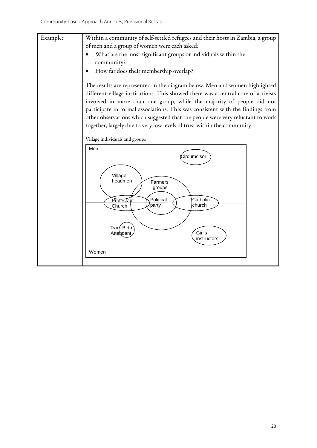Example: Within a community of self-settled refugees and their hosts in Zambia, a group of men and a group of women were each asked: • What are the most significant groups or individuals within the community? • How far does their membership overlap? The results are represented in the diagram below. Men and women highlighted different village institutions. This showed there was a central core of activists involved in more than one group, while the majority of people did not participate in formal associations. This was consistent with the findings from other observations which suggested that the people were very reluctant to work together, largely due to very low levels of trust within the community. Village individuals and groups Men

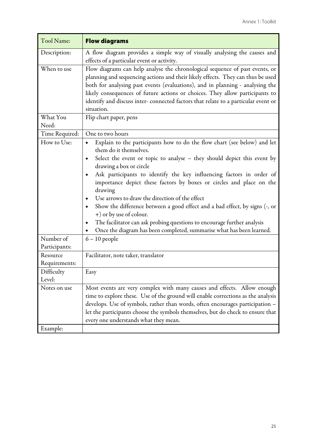| Tool Name:                | <b>Flow diagrams</b>                                                                                                                                                                                                                                                                                                                                                                                                                                                                                                                                                                                                                                                                                                             |  |  |
|---------------------------|----------------------------------------------------------------------------------------------------------------------------------------------------------------------------------------------------------------------------------------------------------------------------------------------------------------------------------------------------------------------------------------------------------------------------------------------------------------------------------------------------------------------------------------------------------------------------------------------------------------------------------------------------------------------------------------------------------------------------------|--|--|
| Description:              | A flow diagram provides a simple way of visually analysing the causes and<br>effects of a particular event or activity.                                                                                                                                                                                                                                                                                                                                                                                                                                                                                                                                                                                                          |  |  |
| When to use<br>What You   | Flow diagrams can help analyse the chronological sequence of past events, or<br>planning and sequencing actions and their likely effects. They can thus be used<br>both for analysing past events (evaluations), and in planning - analysing the<br>likely consequences of future actions or choices. They allow participants to<br>identify and discuss inter-connected factors that relate to a particular event or<br>situation.<br>Flip chart paper, pens                                                                                                                                                                                                                                                                    |  |  |
| Need:                     |                                                                                                                                                                                                                                                                                                                                                                                                                                                                                                                                                                                                                                                                                                                                  |  |  |
| Time Required:            | One to two hours                                                                                                                                                                                                                                                                                                                                                                                                                                                                                                                                                                                                                                                                                                                 |  |  |
| How to Use:<br>Number of  | Explain to the participants how to do the flow chart (see below) and let<br>$\bullet$<br>them do it themselves.<br>Select the event or topic to analyse – they should depict this event by<br>drawing a box or circle<br>Ask participants to identify the key influencing factors in order of<br>importance depict these factors by boxes or circles and place on the<br>drawing<br>Use arrows to draw the direction of the effect<br>Show the difference between a good effect and a bad effect, by signs (-, or<br>$\bullet$<br>+) or by use of colour.<br>The facilitator can ask probing questions to encourage further analysis<br>Once the diagram has been completed, summarise what has been learned.<br>$6 - 10$ people |  |  |
| Participants:             |                                                                                                                                                                                                                                                                                                                                                                                                                                                                                                                                                                                                                                                                                                                                  |  |  |
| Resource<br>Requirements: | Facilitator, note taker, translator                                                                                                                                                                                                                                                                                                                                                                                                                                                                                                                                                                                                                                                                                              |  |  |
| Difficulty<br>Level:      | Easy                                                                                                                                                                                                                                                                                                                                                                                                                                                                                                                                                                                                                                                                                                                             |  |  |
| Notes on use<br>Example:  | Most events are very complex with many causes and effects. Allow enough<br>time to explore these. Use of the ground will enable corrections as the analysis<br>develops. Use of symbols, rather than words, often encourages participation -<br>let the participants choose the symbols themselves, but do check to ensure that<br>every one understands what they mean.                                                                                                                                                                                                                                                                                                                                                         |  |  |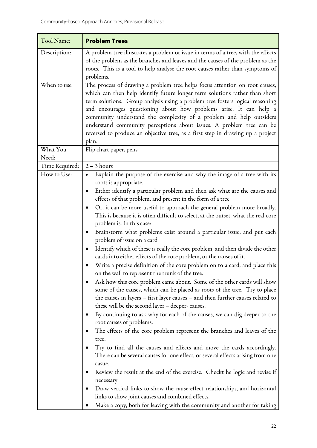| Tool Name:        | <b>Problem Trees</b>                                                                                                                                                                                                                                                                                                                                                                                                                                                                                                                                        |  |  |  |
|-------------------|-------------------------------------------------------------------------------------------------------------------------------------------------------------------------------------------------------------------------------------------------------------------------------------------------------------------------------------------------------------------------------------------------------------------------------------------------------------------------------------------------------------------------------------------------------------|--|--|--|
| Description:      | A problem tree illustrates a problem or issue in terms of a tree, with the effects<br>of the problem as the branches and leaves and the causes of the problem as the<br>roots. This is a tool to help analyse the root causes rather than symptoms of<br>problems.                                                                                                                                                                                                                                                                                          |  |  |  |
| When to use       | The process of drawing a problem tree helps focus attention on root causes,<br>which can then help identify future longer term solutions rather than short<br>term solutions. Group analysis using a problem tree fosters logical reasoning<br>and encourages questioning about how problems arise. It can help a<br>community understand the complexity of a problem and help outsiders<br>understand community perceptions about issues. A problem tree can be<br>reversed to produce an objective tree, as a first step in drawing up a project<br>plan. |  |  |  |
| What You<br>Need: | Flip chart paper, pens                                                                                                                                                                                                                                                                                                                                                                                                                                                                                                                                      |  |  |  |
| Time Required:    | $2 - 3$ hours                                                                                                                                                                                                                                                                                                                                                                                                                                                                                                                                               |  |  |  |
| How to Use:       | Explain the purpose of the exercise and why the image of a tree with its<br>roots is appropriate.<br>Either identify a particular problem and then ask what are the causes and                                                                                                                                                                                                                                                                                                                                                                              |  |  |  |
|                   | effects of that problem, and present in the form of a tree<br>Or, it can be more useful to approach the general problem more broadly.<br>This is because it is often difficult to select, at the outset, what the real core<br>problem is. In this case:                                                                                                                                                                                                                                                                                                    |  |  |  |
|                   | Brainstorm what problems exist around a particular issue, and put each<br>problem of issue on a card                                                                                                                                                                                                                                                                                                                                                                                                                                                        |  |  |  |
|                   | Identify which of these is really the core problem, and then divide the other<br>cards into either effects of the core problem, or the causes of it.                                                                                                                                                                                                                                                                                                                                                                                                        |  |  |  |
|                   | Write a precise definition of the core problem on to a card, and place this<br>on the wall to represent the trunk of the tree.                                                                                                                                                                                                                                                                                                                                                                                                                              |  |  |  |
|                   | Ask how this core problem came about. Some of the other cards will show<br>some of the causes, which can be placed as roots of the tree. Try to place<br>the causes in layers - first layer causes - and then further causes related to<br>these will be the second layer - deeper- causes.                                                                                                                                                                                                                                                                 |  |  |  |
|                   | By continuing to ask why for each of the causes, we can dig deeper to the<br>root causes of problems.                                                                                                                                                                                                                                                                                                                                                                                                                                                       |  |  |  |
|                   | The effects of the core problem represent the branches and leaves of the<br>tree.                                                                                                                                                                                                                                                                                                                                                                                                                                                                           |  |  |  |
|                   | Try to find all the causes and effects and move the cards accordingly.<br>There can be several causes for one effect, or several effects arising from one<br>casue.                                                                                                                                                                                                                                                                                                                                                                                         |  |  |  |
|                   | Review the result at the end of the exercise. Checkt he logic and revise if<br>necessary                                                                                                                                                                                                                                                                                                                                                                                                                                                                    |  |  |  |
|                   | Draw vertical links to show the cause-effect relationships, and horizontal<br>links to show joint causes and combined effects.                                                                                                                                                                                                                                                                                                                                                                                                                              |  |  |  |
|                   | Make a copy, both for leaving with the community and another for taking<br>$\bullet$                                                                                                                                                                                                                                                                                                                                                                                                                                                                        |  |  |  |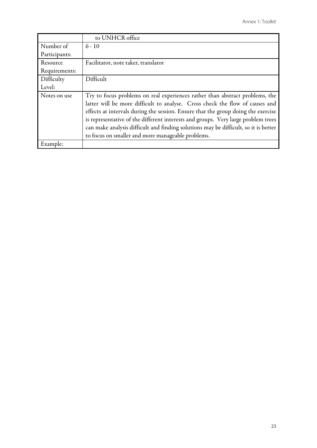|               | to UNHCR office                                                                     |  |  |  |
|---------------|-------------------------------------------------------------------------------------|--|--|--|
| Number of     | $6 - 10$                                                                            |  |  |  |
| Participants: |                                                                                     |  |  |  |
| Resource      | Facilitator, note taker, translator                                                 |  |  |  |
| Requirements: |                                                                                     |  |  |  |
| Difficulty    | Difficult                                                                           |  |  |  |
| Level:        |                                                                                     |  |  |  |
| Notes on use  | Try to focus problems on real experiences rather than abstract problems, the        |  |  |  |
|               | latter will be more difficult to analyse. Cross check the flow of causes and        |  |  |  |
|               | effects at intervals during the session. Ensure that the group doing the exercise   |  |  |  |
|               | is representative of the different interests and groups. Very large problem trees   |  |  |  |
|               | can make analysis difficult and finding solutions may be difficult, so it is better |  |  |  |
|               | to focus on smaller and more manageable problems.                                   |  |  |  |
| Example:      |                                                                                     |  |  |  |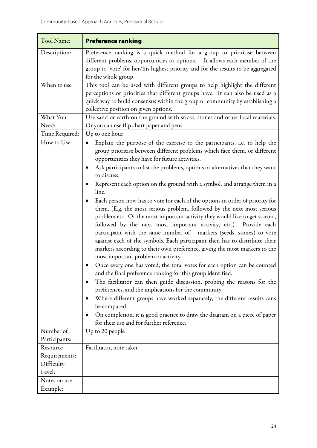| <b>Tool Name:</b>           | <b>Preference ranking</b>                                                                                                                                                                                                                                                                                                                                                                                                                                                                                                                                                                                                                                                                                                                                                                                                                                                                                                                                                                                                                                                                                                                                                                                                                                                                                                                                                                                                                                                                                                       |  |  |  |
|-----------------------------|---------------------------------------------------------------------------------------------------------------------------------------------------------------------------------------------------------------------------------------------------------------------------------------------------------------------------------------------------------------------------------------------------------------------------------------------------------------------------------------------------------------------------------------------------------------------------------------------------------------------------------------------------------------------------------------------------------------------------------------------------------------------------------------------------------------------------------------------------------------------------------------------------------------------------------------------------------------------------------------------------------------------------------------------------------------------------------------------------------------------------------------------------------------------------------------------------------------------------------------------------------------------------------------------------------------------------------------------------------------------------------------------------------------------------------------------------------------------------------------------------------------------------------|--|--|--|
| Description:                | Preference ranking is a quick method for a group to prioritise between<br>different problems, opportunities or options.<br>It allows each member of the<br>group to 'vote' for her/his highest priority and for the results to be aggregated<br>for the whole group.                                                                                                                                                                                                                                                                                                                                                                                                                                                                                                                                                                                                                                                                                                                                                                                                                                                                                                                                                                                                                                                                                                                                                                                                                                                            |  |  |  |
| When to use                 | This tool can be used with different groups to help highlight the different<br>perceptions or priorities that different groups have. It can also be used as a<br>quick way to build consensus within the group or community by establishing a<br>collective position on given options.                                                                                                                                                                                                                                                                                                                                                                                                                                                                                                                                                                                                                                                                                                                                                                                                                                                                                                                                                                                                                                                                                                                                                                                                                                          |  |  |  |
| What You<br>Need:           | Use sand or earth on the ground with sticks, stones and other local materials.<br>Or you can use flip chart paper and pens                                                                                                                                                                                                                                                                                                                                                                                                                                                                                                                                                                                                                                                                                                                                                                                                                                                                                                                                                                                                                                                                                                                                                                                                                                                                                                                                                                                                      |  |  |  |
| Time Required:              | Up to one hour                                                                                                                                                                                                                                                                                                                                                                                                                                                                                                                                                                                                                                                                                                                                                                                                                                                                                                                                                                                                                                                                                                                                                                                                                                                                                                                                                                                                                                                                                                                  |  |  |  |
| How to Use:                 | Explain the purpose of the exercise to the participants, i.e. to help the<br>$\bullet$<br>group prioritise between different problems which face them, or different<br>opportunities they have for future activities.<br>Ask participants to list the problems, options or alternatives that they want<br>$\bullet$<br>to discuss.<br>Represent each option on the ground with a symbol, and arrange them in a<br>line.<br>Each person now has to vote for each of the options in order of priority for<br>them. (E.g. the most serious problem, followed by the next most serious<br>problem etc. Or the most important activity they would like to get started,<br>followed by the next most important activity, etc.) Provide each<br>participant with the same number of markers (seeds, stones) to vote<br>against each of the symbols. Each participant then has to distribute their<br>markers according to their own preference, giving the most markers to the<br>most important problem or activity.<br>Once every one has voted, the total votes for each option can be counted<br>and the final preference ranking for this group identified.<br>The facilitator can then guide discussion, probing the reasons for the<br>$\bullet$<br>preferences, and the implications for the community.<br>Where different groups have worked separately, the different results cans<br>be compared.<br>On completion, it is good practice to draw the diagram on a piece of paper<br>for their use and for further reference. |  |  |  |
| Number of                   | Up to 20 people                                                                                                                                                                                                                                                                                                                                                                                                                                                                                                                                                                                                                                                                                                                                                                                                                                                                                                                                                                                                                                                                                                                                                                                                                                                                                                                                                                                                                                                                                                                 |  |  |  |
| Participants:               |                                                                                                                                                                                                                                                                                                                                                                                                                                                                                                                                                                                                                                                                                                                                                                                                                                                                                                                                                                                                                                                                                                                                                                                                                                                                                                                                                                                                                                                                                                                                 |  |  |  |
| Resource                    | Facilitator, note taker                                                                                                                                                                                                                                                                                                                                                                                                                                                                                                                                                                                                                                                                                                                                                                                                                                                                                                                                                                                                                                                                                                                                                                                                                                                                                                                                                                                                                                                                                                         |  |  |  |
| Requirements:<br>Difficulty |                                                                                                                                                                                                                                                                                                                                                                                                                                                                                                                                                                                                                                                                                                                                                                                                                                                                                                                                                                                                                                                                                                                                                                                                                                                                                                                                                                                                                                                                                                                                 |  |  |  |
| Level:                      |                                                                                                                                                                                                                                                                                                                                                                                                                                                                                                                                                                                                                                                                                                                                                                                                                                                                                                                                                                                                                                                                                                                                                                                                                                                                                                                                                                                                                                                                                                                                 |  |  |  |
| Notes on use                |                                                                                                                                                                                                                                                                                                                                                                                                                                                                                                                                                                                                                                                                                                                                                                                                                                                                                                                                                                                                                                                                                                                                                                                                                                                                                                                                                                                                                                                                                                                                 |  |  |  |
| Example:                    |                                                                                                                                                                                                                                                                                                                                                                                                                                                                                                                                                                                                                                                                                                                                                                                                                                                                                                                                                                                                                                                                                                                                                                                                                                                                                                                                                                                                                                                                                                                                 |  |  |  |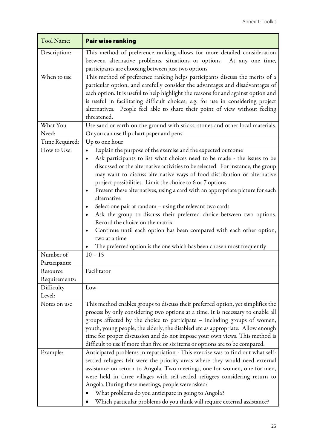| Tool Name:           | <b>Pair wise ranking</b>                                                                                                                                                                                                                                                                                                                                                                                                                                                                                                                                                                                                                                                                                                                                                                                                                               |  |  |
|----------------------|--------------------------------------------------------------------------------------------------------------------------------------------------------------------------------------------------------------------------------------------------------------------------------------------------------------------------------------------------------------------------------------------------------------------------------------------------------------------------------------------------------------------------------------------------------------------------------------------------------------------------------------------------------------------------------------------------------------------------------------------------------------------------------------------------------------------------------------------------------|--|--|
| Description:         | This method of preference ranking allows for more detailed consideration<br>between alternative problems, situations or options. At any one time,<br>participants are choosing between just two options                                                                                                                                                                                                                                                                                                                                                                                                                                                                                                                                                                                                                                                |  |  |
| When to use          | This method of preference ranking helps participants discuss the merits of a<br>particular option, and carefully consider the advantages and disadvantages of<br>each option. It is useful to help highlight the reasons for and against option and<br>is useful in facilitating difficult choices; e.g. for use in considering project<br>alternatives. People feel able to share their point of view without feeling<br>threatened.                                                                                                                                                                                                                                                                                                                                                                                                                  |  |  |
| What You<br>Need:    | Use sand or earth on the ground with sticks, stones and other local materials.<br>Or you can use flip chart paper and pens                                                                                                                                                                                                                                                                                                                                                                                                                                                                                                                                                                                                                                                                                                                             |  |  |
| Time Required:       | Up to one hour                                                                                                                                                                                                                                                                                                                                                                                                                                                                                                                                                                                                                                                                                                                                                                                                                                         |  |  |
| How to Use:          | Explain the purpose of the exercise and the expected outcome<br>$\bullet$<br>Ask participants to list what choices need to be made - the issues to be<br>$\bullet$<br>discussed or the alternative activities to be selected. For instance, the group<br>may want to discuss alternative ways of food distribution or alternative<br>project possibilities. Limit the choice to 6 or 7 options.<br>Present these alternatives, using a card with an appropriate picture for each<br>$\bullet$<br>alternative<br>Select one pair at random – using the relevant two cards<br>Ask the group to discuss their preferred choice between two options.<br>Record the choice on the matrix.<br>Continue until each option has been compared with each other option,<br>two at a time<br>The preferred option is the one which has been chosen most frequently |  |  |
| Number of            | $10 - 15$                                                                                                                                                                                                                                                                                                                                                                                                                                                                                                                                                                                                                                                                                                                                                                                                                                              |  |  |
| Participants:        |                                                                                                                                                                                                                                                                                                                                                                                                                                                                                                                                                                                                                                                                                                                                                                                                                                                        |  |  |
| Resource             | Facilitator                                                                                                                                                                                                                                                                                                                                                                                                                                                                                                                                                                                                                                                                                                                                                                                                                                            |  |  |
| Requirements:        |                                                                                                                                                                                                                                                                                                                                                                                                                                                                                                                                                                                                                                                                                                                                                                                                                                                        |  |  |
| Difficulty<br>Level: | Low                                                                                                                                                                                                                                                                                                                                                                                                                                                                                                                                                                                                                                                                                                                                                                                                                                                    |  |  |
| Notes on use         | This method enables groups to discuss their preferred option, yet simplifies the<br>process by only considering two options at a time. It is necessary to enable all<br>groups affected by the choice to participate - including groups of women,<br>youth, young people, the elderly, the disabled etc as appropriate. Allow enough<br>time for proper discussion and do not impose your own views. This method is<br>difficult to use if more than five or six items or options are to be compared.                                                                                                                                                                                                                                                                                                                                                  |  |  |
| Example:             | Anticipated problems in repatriation - This exercise was to find out what self-<br>settled refugees felt were the priority areas where they would need external<br>assistance on return to Angola. Two meetings, one for women, one for men,<br>were held in three villages with self-settled refugees considering return to<br>Angola. During these meetings, people were asked:<br>What problems do you anticipate in going to Angola?<br>Which particular problems do you think will require external assistance?                                                                                                                                                                                                                                                                                                                                   |  |  |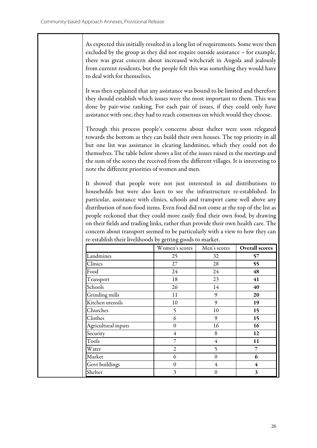As expected this initially resulted in a long list of requirements. Some were then excluded by the group as they did not require outside assistance – for example, there was great concern about increased witchcraft in Angola and jealously from current residents, but the people felt this was something they would have to deal with for themselves.

It was then explained that any assistance was bound to be limited and therefore they should establish which issues were the most important to them. This was done by pair-wise ranking. For each pair of issues, if they could only have assistance with one, they had to reach consensus on which would they choose.

Through this process people's concerns about shelter were soon relegated towards the bottom as they can build their own houses. The top priority in all but one list was assistance in clearing landmines, which they could not do themselves. The table below shows a list of the issues raised in the meetings and the sum of the scores the received from the different villages. It is interesting to note the different priorities of women and men.

It showed that people were not just interested in aid distributions to households but were also keen to see the infrastructure re-established. In particular, assistance with clinics, schools and transport came well above any distribution of non-food items. Even food did not come at the top of the list as people reckoned that they could more easily find their own food, by drawing on their fields and trading links, rather than provide their own health care. The concern about transport seemed to be particularly with a view to how they can re-establish their livelihoods by getting goods to market.

|                     | Women's scores | Men's scores   | <b>Overall scores</b> |
|---------------------|----------------|----------------|-----------------------|
| Landmines           | 25             | 32             | 57                    |
| Clinics             | 27             | 28             | 55                    |
| Food                | 24             | 24             | 48                    |
| Transport           | 18             | 23             | 41                    |
| Schools             | 26             | 14             | 40                    |
| Grinding mills      | 11             | 9              | 20                    |
| Kitchen utensils    | 10             | 9              | 19                    |
| Churches            | 5              | 10             | 15                    |
| Clothes             | 6              | 9              | 15                    |
| Agricultural inputs | $\theta$       | 16             | 16                    |
| Security            | $\overline{4}$ | 8              | 12                    |
| Tools               | 7              | $\overline{4}$ | 11                    |
| Water               | $\overline{2}$ | 5              | 7                     |
| Market              | 6              | $\theta$       | 6                     |
| Govt buildings      | $\mathbf{0}$   | $\overline{4}$ | 4                     |
| Shelter             | 3              | $\theta$       | 3                     |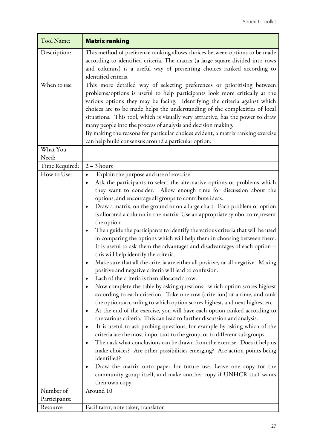| Tool Name:                 | <b>Matrix ranking</b>                                                                                                                                                                                                                                                                                                                                                                                                                                                                                                                                                                                                                                                                                                                                                                                                                                                                                                                                                                                                                                                                                                                                                                                                                                                                                                                                                                                                                                                                                                                                                                                                                                                                                                                                                                                                           |
|----------------------------|---------------------------------------------------------------------------------------------------------------------------------------------------------------------------------------------------------------------------------------------------------------------------------------------------------------------------------------------------------------------------------------------------------------------------------------------------------------------------------------------------------------------------------------------------------------------------------------------------------------------------------------------------------------------------------------------------------------------------------------------------------------------------------------------------------------------------------------------------------------------------------------------------------------------------------------------------------------------------------------------------------------------------------------------------------------------------------------------------------------------------------------------------------------------------------------------------------------------------------------------------------------------------------------------------------------------------------------------------------------------------------------------------------------------------------------------------------------------------------------------------------------------------------------------------------------------------------------------------------------------------------------------------------------------------------------------------------------------------------------------------------------------------------------------------------------------------------|
| Description:               | This method of preference ranking allows choices between options to be made<br>according to identified criteria. The matrix (a large square divided into rows<br>and columns) is a useful way of presenting choices ranked according to<br>identified criteria                                                                                                                                                                                                                                                                                                                                                                                                                                                                                                                                                                                                                                                                                                                                                                                                                                                                                                                                                                                                                                                                                                                                                                                                                                                                                                                                                                                                                                                                                                                                                                  |
| When to use<br>What You    | This more detailed way of selecting preferences or prioritising between<br>problems/options is useful to help participants look more critically at the<br>various options they may be facing. Identifying the criteria against which<br>choices are to be made helps the understanding of the complexities of local<br>situations. This tool, which is visually very attractive, has the power to draw<br>many people into the process of analysis and decision making.<br>By making the reasons for particular choices evident, a matrix ranking exercise<br>can help build consensus around a particular option.                                                                                                                                                                                                                                                                                                                                                                                                                                                                                                                                                                                                                                                                                                                                                                                                                                                                                                                                                                                                                                                                                                                                                                                                              |
| Need:                      |                                                                                                                                                                                                                                                                                                                                                                                                                                                                                                                                                                                                                                                                                                                                                                                                                                                                                                                                                                                                                                                                                                                                                                                                                                                                                                                                                                                                                                                                                                                                                                                                                                                                                                                                                                                                                                 |
| Time Required:             | $2 - 3$ hours                                                                                                                                                                                                                                                                                                                                                                                                                                                                                                                                                                                                                                                                                                                                                                                                                                                                                                                                                                                                                                                                                                                                                                                                                                                                                                                                                                                                                                                                                                                                                                                                                                                                                                                                                                                                                   |
| How to Use:                | Explain the purpose and use of exercise<br>٠<br>Ask the participants to select the alternative options or problems which<br>they want to consider. Allow enough time for discussion about the<br>options, and encourage all groups to contribute ideas.<br>Draw a matrix, on the ground or on a large chart. Each problem or option<br>$\bullet$<br>is allocated a column in the matrix. Use an appropriate symbol to represent<br>the option.<br>Then guide the participants to identify the various criteria that will be used<br>in comparing the options which will help them in choosing between them.<br>It is useful to ask them the advantages and disadvantages of each option -<br>this will help identify the criteria.<br>Make sure that all the criteria are either all positive, or all negative. Mixing<br>positive and negative criteria will lead to confusion.<br>Each of the criteria is then allocated a row.<br>Now complete the table by asking questions: which option scores highest<br>according to each criterion. Take one row (criterion) at a time, and rank<br>the options according to which option scores highest, and next highest etc.<br>At the end of the exercise, you will have each option ranked according to<br>the various criteria. This can lead to further discussion and analysis.<br>It is useful to ask probing questions, for example by asking which of the<br>criteria are the most important to the group, or to different sub groups.<br>Then ask what conclusions can be drawn from the exercise. Does it help us<br>make choices? Are other possibilities emerging? Are action points being<br>identified?<br>Draw the matrix onto paper for future use. Leave one copy for the<br>community group itself, and make another copy if UNHCR staff wants<br>their own copy. |
| Number of<br>Participants: | Around 10                                                                                                                                                                                                                                                                                                                                                                                                                                                                                                                                                                                                                                                                                                                                                                                                                                                                                                                                                                                                                                                                                                                                                                                                                                                                                                                                                                                                                                                                                                                                                                                                                                                                                                                                                                                                                       |
| Resource                   | Facilitator, note taker, translator                                                                                                                                                                                                                                                                                                                                                                                                                                                                                                                                                                                                                                                                                                                                                                                                                                                                                                                                                                                                                                                                                                                                                                                                                                                                                                                                                                                                                                                                                                                                                                                                                                                                                                                                                                                             |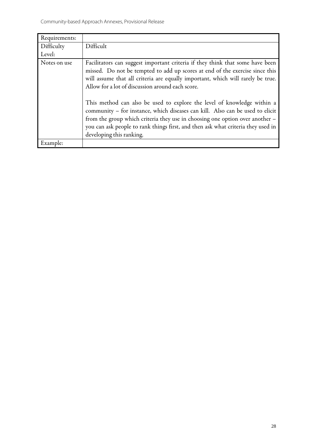| Requirements: |                                                                                                                                                                                                                                                                                                                                                          |
|---------------|----------------------------------------------------------------------------------------------------------------------------------------------------------------------------------------------------------------------------------------------------------------------------------------------------------------------------------------------------------|
| Difficulty    | Difficult                                                                                                                                                                                                                                                                                                                                                |
| Level:        |                                                                                                                                                                                                                                                                                                                                                          |
| Notes on use  | Facilitators can suggest important criteria if they think that some have been<br>missed. Do not be tempted to add up scores at end of the exercise since this<br>will assume that all criteria are equally important, which will rarely be true.<br>Allow for a lot of discussion around each score.                                                     |
|               | This method can also be used to explore the level of knowledge within a<br>community - for instance, which diseases can kill. Also can be used to elicit<br>from the group which criteria they use in choosing one option over another -<br>you can ask people to rank things first, and then ask what criteria they used in<br>developing this ranking. |
| Example:      |                                                                                                                                                                                                                                                                                                                                                          |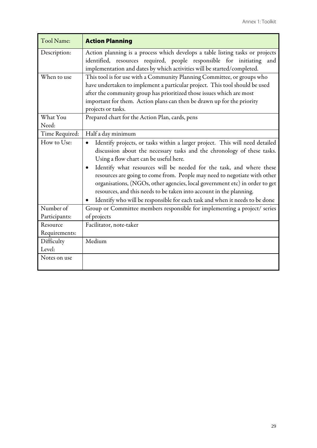| Tool Name:                              | <b>Action Planning</b>                                                                                                                                                                                                                                                                                                                                                                                                                                                                                                                                                                                                             |
|-----------------------------------------|------------------------------------------------------------------------------------------------------------------------------------------------------------------------------------------------------------------------------------------------------------------------------------------------------------------------------------------------------------------------------------------------------------------------------------------------------------------------------------------------------------------------------------------------------------------------------------------------------------------------------------|
| Description:                            | Action planning is a process which develops a table listing tasks or projects<br>identified, resources required, people responsible for initiating<br>and<br>implementation and dates by which activities will be started/completed.                                                                                                                                                                                                                                                                                                                                                                                               |
| When to use                             | This tool is for use with a Community Planning Committee, or groups who<br>have undertaken to implement a particular project. This tool should be used<br>after the community group has prioritized those issues which are most<br>important for them. Action plans can then be drawn up for the priority<br>projects or tasks.                                                                                                                                                                                                                                                                                                    |
| What You<br>Need:                       | Prepared chart for the Action Plan, cards, pens                                                                                                                                                                                                                                                                                                                                                                                                                                                                                                                                                                                    |
| Time Required:                          | Half a day minimum                                                                                                                                                                                                                                                                                                                                                                                                                                                                                                                                                                                                                 |
| How to Use:                             | Identify projects, or tasks within a larger project. This will need detailed<br>$\bullet$<br>discussion about the necessary tasks and the chronology of these tasks.<br>Using a flow chart can be useful here.<br>Identify what resources will be needed for the task, and where these<br>$\bullet$<br>resources are going to come from. People may need to negotiate with other<br>organisations, (NGOs, other agencies, local government etc) in order to get<br>resources, and this needs to be taken into account in the planning.<br>Identify who will be responsible for each task and when it needs to be done<br>$\bullet$ |
| Number of<br>Participants:              | Group or Committee members responsible for implementing a project/ series<br>of projects                                                                                                                                                                                                                                                                                                                                                                                                                                                                                                                                           |
| Resource<br>Requirements:<br>Difficulty | Facilitator, note-taker<br>Medium                                                                                                                                                                                                                                                                                                                                                                                                                                                                                                                                                                                                  |
| Level:                                  |                                                                                                                                                                                                                                                                                                                                                                                                                                                                                                                                                                                                                                    |
| Notes on use                            |                                                                                                                                                                                                                                                                                                                                                                                                                                                                                                                                                                                                                                    |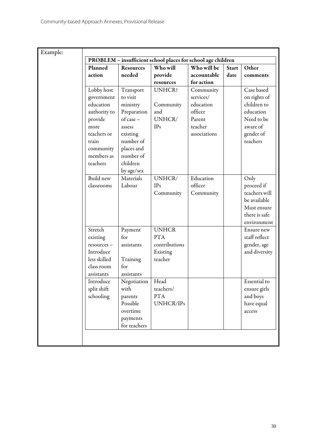|              |                  | PROBLEM - insufficient school places for school age children |              |              |               |
|--------------|------------------|--------------------------------------------------------------|--------------|--------------|---------------|
| Planned      | <b>Resources</b> | Who will                                                     | Who will be  | <b>Start</b> | Other         |
| action       | needed           | provide                                                      | accountable  | date         | comments      |
|              |                  | resources                                                    | for action   |              |               |
| Lobby host   | Transport        | <b>UNHCR?</b>                                                | Community    |              | Case based    |
| government   | to visit         |                                                              | services/    |              | on rights of  |
| education    | ministry         | Community                                                    | education    |              | children to   |
| authority to | Preparation      | and                                                          | officer      |              | education     |
| provide      | of case -        | UNHCR/                                                       | Parent       |              | Need to be    |
| more         | assess           | <b>IPs</b>                                                   | teacher      |              | aware of      |
| teachers or  | existing         |                                                              | associations |              | gender of     |
| train        | number of        |                                                              |              |              | teachers      |
| community    | places and       |                                                              |              |              |               |
| members as   | number of        |                                                              |              |              |               |
| teachers     | children         |                                                              |              |              |               |
|              | by age/sex       |                                                              |              |              |               |
| Build new    | Materials        | UNHCR/                                                       | Education    |              | Only          |
| classrooms   | Labour           | IPs                                                          | officer      |              | proceed if    |
|              |                  | Community                                                    | Community    |              | teachers will |
|              |                  |                                                              |              |              | be available  |
|              |                  |                                                              |              |              | Must ensure   |
|              |                  |                                                              |              |              | there is safe |
|              |                  |                                                              |              |              | environment   |
| Stretch      | Payment          | <b>UNHCR</b>                                                 |              |              | Ensure new    |
| existing     | for              | <b>PTA</b>                                                   |              |              | staff reflect |
| resources -  | assistants       | contributions                                                |              |              | gender, age   |
| Introduce    |                  | Existing                                                     |              |              | and diversity |
| less skilled | Training         | teacher                                                      |              |              |               |
| class room   | for              |                                                              |              |              |               |
| assistants   | assistants       |                                                              |              |              |               |
| Introduce    | Negotiation      | Head                                                         |              |              | Essential to  |
| split shift  | with             | teachers/                                                    |              |              | ensure girls  |
| schooling    | parents          | <b>PTA</b>                                                   |              |              | and boys      |
|              | Possible         | UNHCR/IPs                                                    |              |              | have equal    |
|              | overtime         |                                                              |              |              | access        |
|              | payments         |                                                              |              |              |               |
|              | for teachers     |                                                              |              |              |               |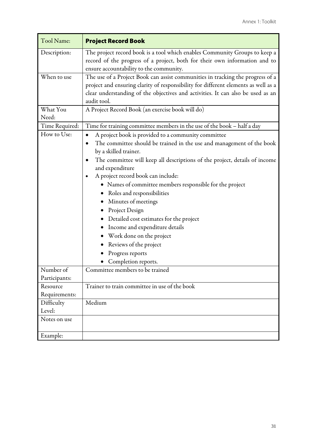| Tool Name:                | <b>Project Record Book</b>                                                                                                                                                                                                                                                                                                                                                                                                                                                                                                                                                                               |
|---------------------------|----------------------------------------------------------------------------------------------------------------------------------------------------------------------------------------------------------------------------------------------------------------------------------------------------------------------------------------------------------------------------------------------------------------------------------------------------------------------------------------------------------------------------------------------------------------------------------------------------------|
| Description:              | The project record book is a tool which enables Community Groups to keep a<br>record of the progress of a project, both for their own information and to<br>ensure accountability to the community.                                                                                                                                                                                                                                                                                                                                                                                                      |
| When to use               | The use of a Project Book can assist communities in tracking the progress of a<br>project and ensuring clarity of responsibility for different elements as well as a<br>clear understanding of the objectives and activities. It can also be used as an<br>audit tool.                                                                                                                                                                                                                                                                                                                                   |
| What You<br>Need:         | A Project Record Book (an exercise book will do)                                                                                                                                                                                                                                                                                                                                                                                                                                                                                                                                                         |
| Time Required:            | Time for training committee members in the use of the book - half a day                                                                                                                                                                                                                                                                                                                                                                                                                                                                                                                                  |
| How to Use:               | A project book is provided to a community committee<br>The committee should be trained in the use and management of the book<br>$\bullet$<br>by a skilled trainer.<br>The committee will keep all descriptions of the project, details of income<br>and expenditure<br>A project record book can include:<br>٠<br>· Names of committee members responsible for the project<br>Roles and responsibilities<br>Minutes of meetings<br>Project Design<br>Detailed cost estimates for the project<br>Income and expenditure details<br>Work done on the project<br>Reviews of the project<br>Progress reports |
|                           | Completion reports.                                                                                                                                                                                                                                                                                                                                                                                                                                                                                                                                                                                      |
| Number of                 | Committee members to be trained                                                                                                                                                                                                                                                                                                                                                                                                                                                                                                                                                                          |
| Participants:             |                                                                                                                                                                                                                                                                                                                                                                                                                                                                                                                                                                                                          |
| Resource<br>Requirements: | Trainer to train committee in use of the book                                                                                                                                                                                                                                                                                                                                                                                                                                                                                                                                                            |
| Difficulty                | Medium                                                                                                                                                                                                                                                                                                                                                                                                                                                                                                                                                                                                   |
| Level:                    |                                                                                                                                                                                                                                                                                                                                                                                                                                                                                                                                                                                                          |
| Notes on use              |                                                                                                                                                                                                                                                                                                                                                                                                                                                                                                                                                                                                          |
| Example:                  |                                                                                                                                                                                                                                                                                                                                                                                                                                                                                                                                                                                                          |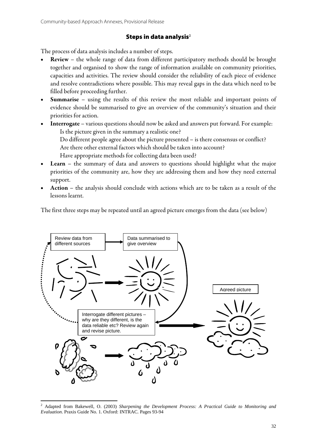#### Steps in data analysis $2$

The process of data analysis includes a number of steps.

- Review the whole range of data from different participatory methods should be brought together and organised to show the range of information available on community priorities, capacities and activities. The review should consider the reliability of each piece of evidence and resolve contradictions where possible. This may reveal gaps in the data which need to be filled before proceeding further.
- **Summarise** using the results of this review the most reliable and important points of evidence should be summarised to give an overview of the community's situation and their priorities for action.
- Interrogate various questions should now be asked and answers put forward. For example: Is the picture given in the summary a realistic one? Do different people agree about the picture presented – is there consensus or conflict? Are there other external factors which should be taken into account? Have appropriate methods for collecting data been used?
- **Learn** the summary of data and answers to questions should highlight what the major priorities of the community are, how they are addressing them and how they need external support.
- Action the analysis should conclude with actions which are to be taken as a result of the lessons learnt.

The first three steps may be repeated until an agreed picture emerges from the data (see below)



<sup>&</sup>lt;u>.</u> 2 Adapted from Bakewell, O. (2003) *Sharpening the Development Process: A Practical Guide to Monitoring and Evaluation*. Praxis Guide No. 1. Oxford: INTRAC. Pages 93-94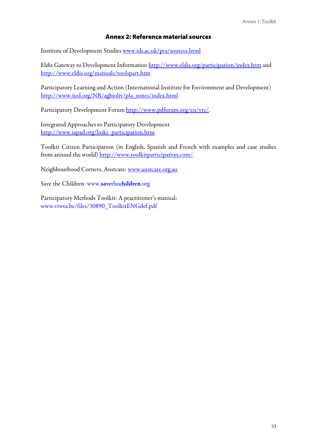## Annex 2: Reference material sources

Institute of Development Studies www.ids.ac.uk/pra/sources.html

Eldis Gateway to Development Information http://www.eldis.org/participation/index.htm and http://www.eldis.org/manuals/toolspart.htm

Participatory Learning and Action (International Institute for Environment and Development) http://www.iied.org/NR/agbioliv/pla\_notes/index.html

Participatory Development Forum http://www.pdforum.org/en/vrc/.

Integrated Approaches to Participatory Development http://www.iapad.org/links\_participation.htm.

Toolkit Citizen Participation (in English, Spanish and French with examples and case studies from around the world) http://www.toolkitparticipation.com/.

Neighbourhood Corners, Austcare: www.austcare.org.au

Save the Children: www.savethechildren.org

Participatory Methods Toolkit: A practitioner's manual: www.viwta.be/files/30890\_ToolkitENGdef.pdf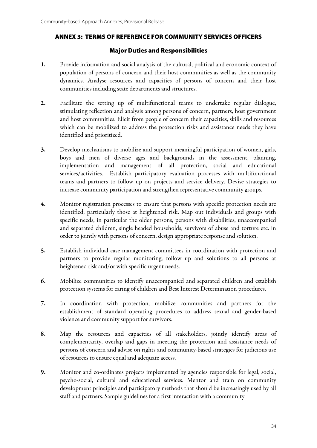## ANNEX 3: TERMS OF REFERENCE FOR COMMUNITY SERVICES OFFICERS

#### Major Duties and Responsibilities

- 1. Provide information and social analysis of the cultural, political and economic context of population of persons of concern and their host communities as well as the community dynamics. Analyse resources and capacities of persons of concern and their host communities including state departments and structures.
- 2. Facilitate the setting up of multifunctional teams to undertake regular dialogue, stimulating reflection and analysis among persons of concern, partners, host government and host communities. Elicit from people of concern their capacities, skills and resources which can be mobilized to address the protection risks and assistance needs they have identified and prioritized.
- 3. Develop mechanisms to mobilize and support meaningful participation of women, girls, boys and men of diverse ages and backgrounds in the assessment, planning, implementation and management of all protection, social and educational services/activities. Establish participatory evaluation processes with multifunctional teams and partners to follow up on projects and service delivery. Devise strategies to increase community participation and strengthen representative community groups.
- 4. Monitor registration processes to ensure that persons with specific protection needs are identified, particularly those at heightened risk. Map out individuals and groups with specific needs, in particular the older persons, persons with disabilities, unaccompanied and separated children, single headed households, survivors of abuse and torture etc. in order to jointly with persons of concern, design appropriate response and solution.
- 5. Establish individual case management committees in coordination with protection and partners to provide regular monitoring, follow up and solutions to all persons at heightened risk and/or with specific urgent needs.
- 6. Mobilize communities to identify unaccompanied and separated children and establish protection systems for caring of children and Best Interest Determination procedures.
- 7. In coordination with protection, mobilize communities and partners for the establishment of standard operating procedures to address sexual and gender-based violence and community support for survivors.
- 8. Map the resources and capacities of all stakeholders, jointly identify areas of complementarity, overlap and gaps in meeting the protection and assistance needs of persons of concern and advise on rights and community-based strategies for judicious use of resources to ensure equal and adequate access.
- 9. Monitor and co-ordinates projects implemented by agencies responsible for legal, social, psycho-social, cultural and educational services. Mentor and train on community development principles and participatory methods that should be increasingly used by all staff and partners. Sample guidelines for a first interaction with a community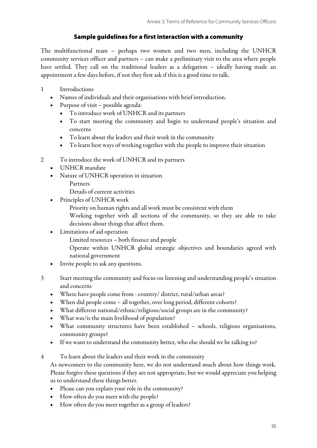# Sample guidelines for a first interaction with a community

The multifunctional team – perhaps two women and two men, including the UNHCR community services officer and partners – can make a preliminary visit to the area where people have settled. They call on the traditional leaders as a delegation – ideally having made an appointment a few days before, if not they first ask if this is a good time to talk.

- 1 Introductions
	- Names of individuals and their organisations with brief introduction.
	- Purpose of visit possible agenda:
		- To introduce work of UNHCR and its partners
		- To start meeting the community and begin to understand people's situation and concerns
		- To learn about the leaders and their work in the community
		- To learn best ways of working together with the people to improve their situation
- 2 To introduce the work of UNHCR and its partners
	- UNHCR mandate
	- Nature of UNHCR operation in situation
		- Partners
		- Details of current activities
	- Principles of UNHCR work
		- Priority on human rights and all work must be consistent with them
		- Working together with all sections of the community, so they are able to take decisions about things that affect them.
	- Limitations of aid operation
		- Limited resources both finance and people
		- Operate within UNHCR global strategic objectives and boundaries agreed with national government
	- Invite people to ask any questions.
- 3 Start meeting the community and focus on listening and understanding people's situation and concerns
	- Where have people come from country/ district, rural/urban areas?
	- When did people come all together, over long period, different cohorts?
	- What different national/ethnic/religious/social groups are in the community?
	- What was/is the main livelihood of population?
	- What community structures have been established schools, religious organisations, community groups?
	- If we want to understand the community better, who else should we be talking to?
- 4 To learn about the leaders and their work in the community

As newcomers to the community here, we do not understand much about how things work. Please forgive these questions if they are not appropriate, but we would appreciate you helping us to understand these things better.

- Please can you explain your role in the community?
- How often do you meet with the people?
- How often do you meet together as a group of leaders?